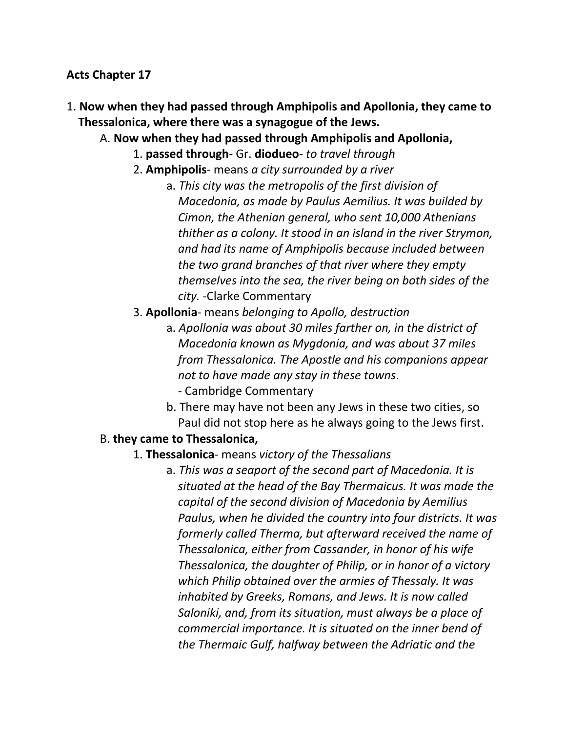#### **Acts Chapter 17**

- 1. **Now when they had passed through Amphipolis and Apollonia, they came to Thessalonica, where there was a synagogue of the Jews.**
	- A. **Now when they had passed through Amphipolis and Apollonia,**
		- 1. **passed through** Gr. **diodueo** *to travel through*
		- 2. **Amphipolis** means *a city surrounded by a river*
			- a. *This city was the metropolis of the first division of Macedonia, as made by Paulus Aemilius. It was builded by Cimon, the Athenian general, who sent 10,000 Athenians thither as a colony. It stood in an island in the river Strymon, and had its name of Amphipolis because included between the two grand branches of that river where they empty themselves into the sea, the river being on both sides of the city.* -Clarke Commentary
		- 3. **Apollonia** means *belonging to Apollo, destruction*
			- a. *Apollonia was about 30 miles farther on, in the district of Macedonia known as Mygdonia, and was about 37 miles from Thessalonica. The Apostle and his companions appear not to have made any stay in these towns*.
				- Cambridge Commentary
			- b. There may have not been any Jews in these two cities, so Paul did not stop here as he always going to the Jews first.

### B. **they came to Thessalonica,**

- 1. **Thessalonica** means *victory of the Thessalians*
	- a. *This was a seaport of the second part of Macedonia. It is situated at the head of the Bay Thermaicus. It was made the capital of the second division of Macedonia by Aemilius Paulus, when he divided the country into four districts. It was formerly called Therma, but afterward received the name of Thessalonica, either from Cassander, in honor of his wife Thessalonica, the daughter of Philip, or in honor of a victory which Philip obtained over the armies of Thessaly. It was inhabited by Greeks, Romans, and Jews. It is now called Saloniki, and, from its situation, must always be a place of commercial importance. It is situated on the inner bend of the Thermaic Gulf, halfway between the Adriatic and the*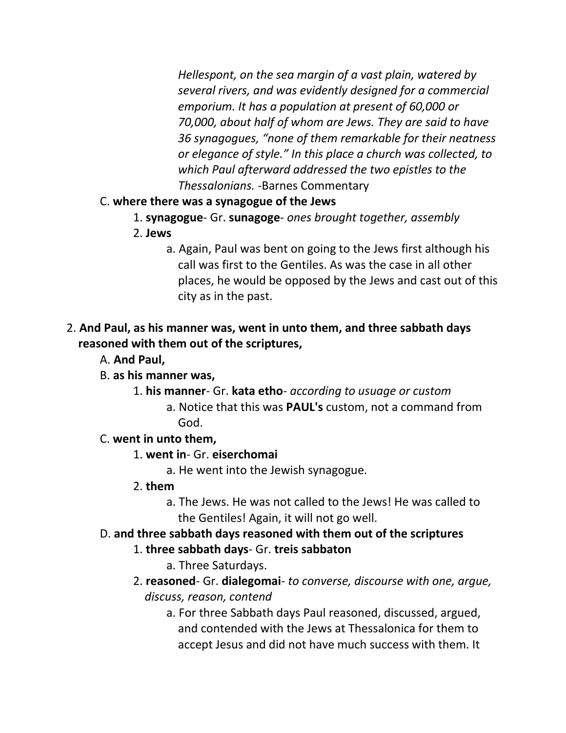*Hellespont, on the sea margin of a vast plain, watered by several rivers, and was evidently designed for a commercial emporium. It has a population at present of 60,000 or 70,000, about half of whom are Jews. They are said to have 36 synagogues, "none of them remarkable for their neatness or elegance of style." In this place a church was collected, to which Paul afterward addressed the two epistles to the Thessalonians.* -Barnes Commentary

- C. **where there was a synagogue of the Jews**
	- 1. **synagogue** Gr. **sunagoge** *ones brought together, assembly*
	- 2. **Jews**
		- a. Again, Paul was bent on going to the Jews first although his call was first to the Gentiles. As was the case in all other places, he would be opposed by the Jews and cast out of this city as in the past.
- 2. **And Paul, as his manner was, went in unto them, and three sabbath days reasoned with them out of the scriptures,**
	- A. **And Paul,**
	- B. **as his manner was,**
		- 1. **his manner** Gr. **kata etho** *according to usuage or custom* a. Notice that this was **PAUL's** custom, not a command from God.
	- C. **went in unto them,**
		- 1. **went in** Gr. **eiserchomai**
			- a. He went into the Jewish synagogue.
		- 2. **them**
			- a. The Jews. He was not called to the Jews! He was called to the Gentiles! Again, it will not go well.
	- D. **and three sabbath days reasoned with them out of the scriptures**
		- 1. **three sabbath days** Gr. **treis sabbaton**
			- a. Three Saturdays.
		- 2. **reasoned** Gr. **dialegomai** *to converse, discourse with one, argue, discuss, reason, contend*
			- a. For three Sabbath days Paul reasoned, discussed, argued, and contended with the Jews at Thessalonica for them to accept Jesus and did not have much success with them. It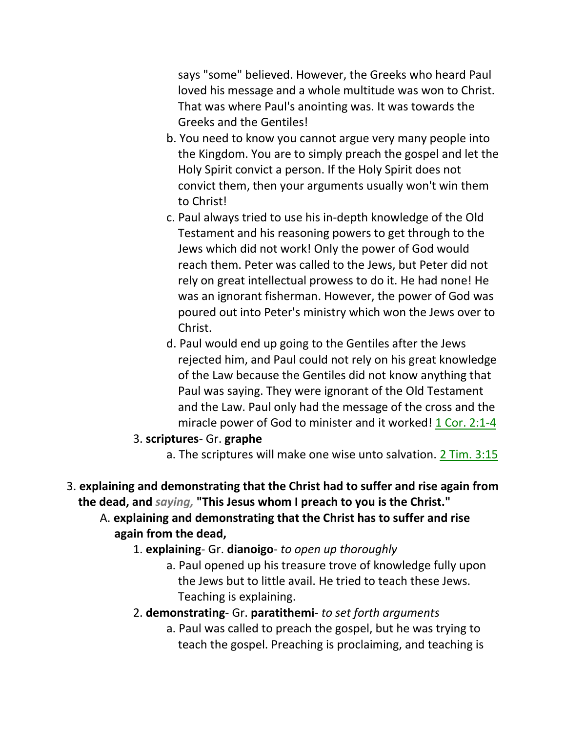says "some" believed. However, the Greeks who heard Paul loved his message and a whole multitude was won to Christ. That was where Paul's anointing was. It was towards the Greeks and the Gentiles!

- b. You need to know you cannot argue very many people into the Kingdom. You are to simply preach the gospel and let the Holy Spirit convict a person. If the Holy Spirit does not convict them, then your arguments usually won't win them to Christ!
- c. Paul always tried to use his in-depth knowledge of the Old Testament and his reasoning powers to get through to the Jews which did not work! Only the power of God would reach them. Peter was called to the Jews, but Peter did not rely on great intellectual prowess to do it. He had none! He was an ignorant fisherman. However, the power of God was poured out into Peter's ministry which won the Jews over to Christ.
- d. Paul would end up going to the Gentiles after the Jews rejected him, and Paul could not rely on his great knowledge of the Law because the Gentiles did not know anything that Paul was saying. They were ignorant of the Old Testament and the Law. Paul only had the message of the cross and the miracle power of God to minister and it worked! 1 Cor. 2:1-4
- 3. **scriptures** Gr. **graphe**
	- a. The scriptures will make one wise unto salvation.  $2$  Tim.  $3:15$
- 3. **explaining and demonstrating that the Christ had to suffer and rise again from the dead, and** *saying,* **"This Jesus whom I preach to you is the Christ."**
	- A. **explaining and demonstrating that the Christ has to suffer and rise again from the dead,**
		- 1. **explaining** Gr. **dianoigo** *to open up thoroughly*
			- a. Paul opened up his treasure trove of knowledge fully upon the Jews but to little avail. He tried to teach these Jews. Teaching is explaining.
		- 2. **demonstrating** Gr. **paratithemi** *to set forth arguments*
			- a. Paul was called to preach the gospel, but he was trying to teach the gospel. Preaching is proclaiming, and teaching is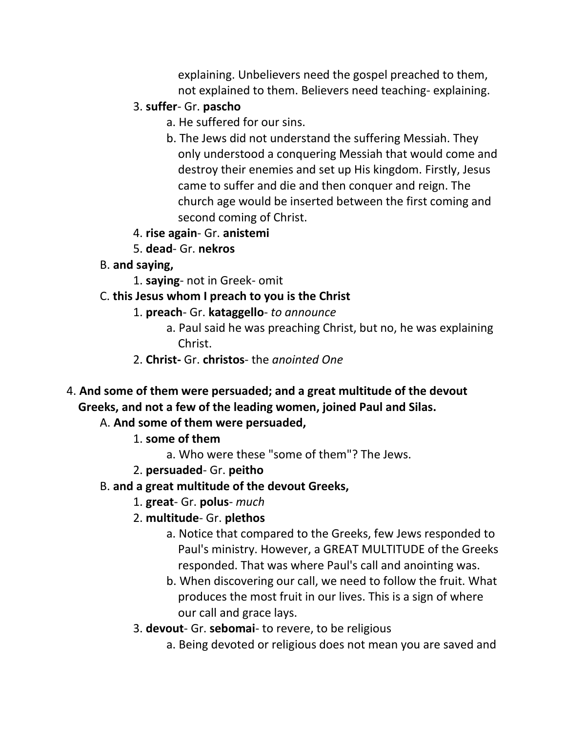explaining. Unbelievers need the gospel preached to them, not explained to them. Believers need teaching- explaining.

### 3. **suffer**- Gr. **pascho**

- a. He suffered for our sins.
- b. The Jews did not understand the suffering Messiah. They only understood a conquering Messiah that would come and destroy their enemies and set up His kingdom. Firstly, Jesus came to suffer and die and then conquer and reign. The church age would be inserted between the first coming and second coming of Christ.
- 4. **rise again** Gr. **anistemi**
- 5. **dead** Gr. **nekros**
- B. **and saying,**
	- 1. **saying** not in Greek- omit

### C. **this Jesus whom I preach to you is the Christ**

- 1. **preach** Gr. **kataggello** *to announce*
	- a. Paul said he was preaching Christ, but no, he was explaining Christ.
- 2. **Christ-** Gr. **christos** the *anointed One*
- 4. **And some of them were persuaded; and a great multitude of the devout Greeks, and not a few of the leading women, joined Paul and Silas.**

### A. **And some of them were persuaded,**

- 1. **some of them**
	- a. Who were these "some of them"? The Jews.
- 2. **persuaded** Gr. **peitho**

#### B. **and a great multitude of the devout Greeks,**

- 1. **great** Gr. **polus** *much*
- 2. **multitude** Gr. **plethos**
	- a. Notice that compared to the Greeks, few Jews responded to Paul's ministry. However, a GREAT MULTITUDE of the Greeks responded. That was where Paul's call and anointing was.
	- b. When discovering our call, we need to follow the fruit. What produces the most fruit in our lives. This is a sign of where our call and grace lays.
- 3. **devout** Gr. **sebomai** to revere, to be religious
	- a. Being devoted or religious does not mean you are saved and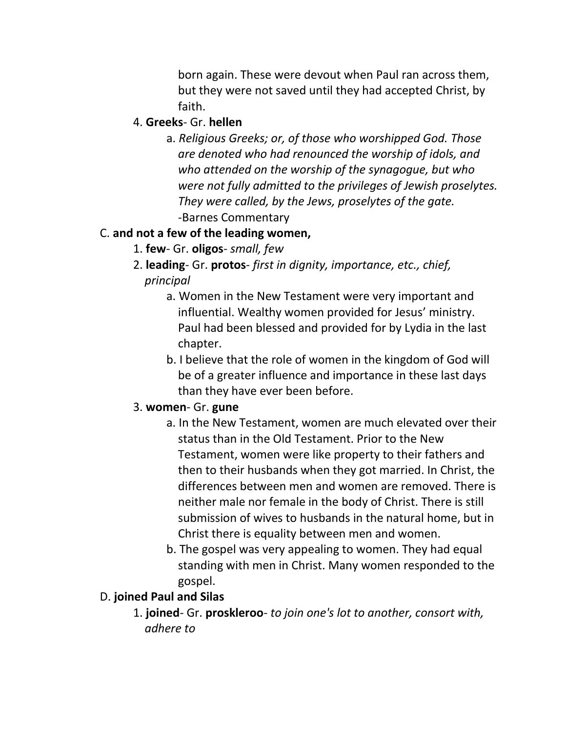born again. These were devout when Paul ran across them, but they were not saved until they had accepted Christ, by faith.

### 4. **Greeks**- Gr. **hellen**

a. *Religious Greeks; or, of those who worshipped God. Those are denoted who had renounced the worship of idols, and who attended on the worship of the synagogue, but who were not fully admitted to the privileges of Jewish proselytes. They were called, by the Jews, proselytes of the gate.* -Barnes Commentary

### C. **and not a few of the leading women,**

- 1. **few** Gr. **oligos** *small, few*
- 2. **leading** Gr. **protos** *first in dignity, importance, etc., chief, principal*
	- a. Women in the New Testament were very important and influential. Wealthy women provided for Jesus' ministry. Paul had been blessed and provided for by Lydia in the last chapter.
	- b. I believe that the role of women in the kingdom of God will be of a greater influence and importance in these last days than they have ever been before.

### 3. **women**- Gr. **gune**

- a. In the New Testament, women are much elevated over their status than in the Old Testament. Prior to the New Testament, women were like property to their fathers and then to their husbands when they got married. In Christ, the differences between men and women are removed. There is neither male nor female in the body of Christ. There is still submission of wives to husbands in the natural home, but in Christ there is equality between men and women.
- b. The gospel was very appealing to women. They had equal standing with men in Christ. Many women responded to the gospel.

### D. **joined Paul and Silas**

1. **joined**- Gr. **proskleroo**- *to join one's lot to another, consort with, adhere to*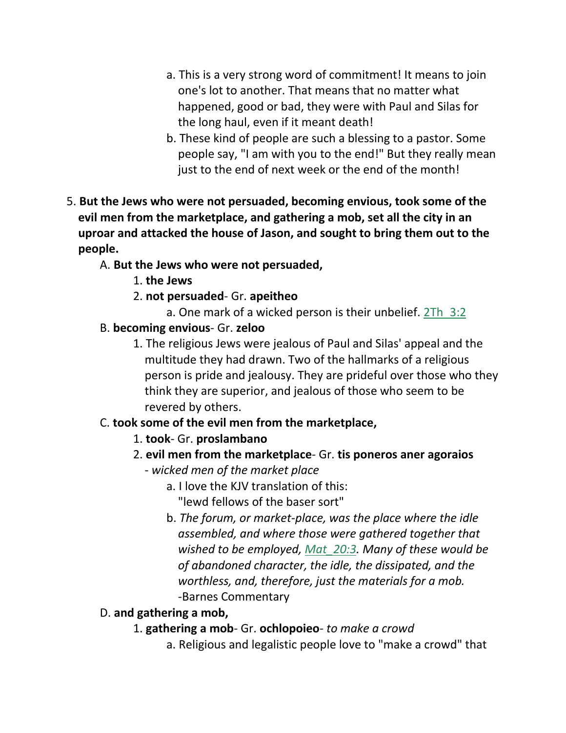- a. This is a very strong word of commitment! It means to join one's lot to another. That means that no matter what happened, good or bad, they were with Paul and Silas for the long haul, even if it meant death!
- b. These kind of people are such a blessing to a pastor. Some people say, "I am with you to the end!" But they really mean just to the end of next week or the end of the month!
- 5. **But the Jews who were not persuaded, becoming envious, took some of the evil men from the marketplace, and gathering a mob, set all the city in an uproar and attacked the house of Jason, and sought to bring them out to the people.**
	- A. **But the Jews who were not persuaded,**
		- 1. **the Jews**
		- 2. **not persuaded** Gr. **apeitheo**
			- a. One mark of a wicked person is their unbelief.  $2Th$  3:2
	- B. **becoming envious** Gr. **zeloo**
		- 1. The religious Jews were jealous of Paul and Silas' appeal and the multitude they had drawn. Two of the hallmarks of a religious person is pride and jealousy. They are prideful over those who they think they are superior, and jealous of those who seem to be revered by others.

## C. **took some of the evil men from the marketplace,**

1. **took**- Gr. **proslambano**

## 2. **evil men from the marketplace**- Gr. **tis poneros aner agoraios**

- *wicked men of the market place*
	- a. I love the KJV translation of this: "lewd fellows of the baser sort"
	- b. *The forum, or market-place, was the place where the idle assembled, and where those were gathered together that wished to be employed, Mat\_20:3. Many of these would be of abandoned character, the idle, the dissipated, and the worthless, and, therefore, just the materials for a mob.* -Barnes Commentary

## D. **and gathering a mob,**

- 1. **gathering a mob** Gr. **ochlopoieo** *to make a crowd*
	- a. Religious and legalistic people love to "make a crowd" that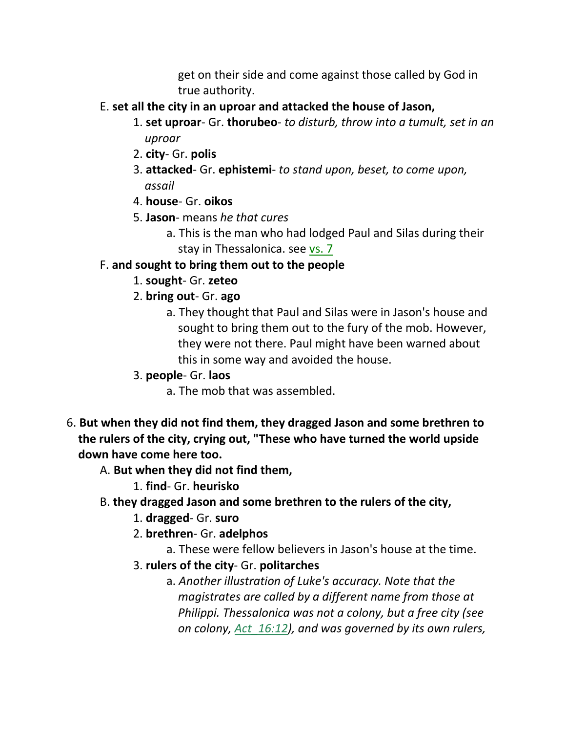get on their side and come against those called by God in true authority.

- E. **set all the city in an uproar and attacked the house of Jason,**
	- 1. **set uproar** Gr. **thorubeo** *to disturb, throw into a tumult, set in an uproar*
	- 2. **city** Gr. **polis**
	- 3. **attacked** Gr. **ephistemi** *to stand upon, beset, to come upon, assail*
	- 4. **house** Gr. **oikos**
	- 5. **Jason** means *he that cures*
		- a. This is the man who had lodged Paul and Silas during their stay in Thessalonica. see vs. 7

## F. **and sought to bring them out to the people**

- 1. **sought** Gr. **zeteo**
- 2. **bring out** Gr. **ago**
	- a. They thought that Paul and Silas were in Jason's house and sought to bring them out to the fury of the mob. However, they were not there. Paul might have been warned about this in some way and avoided the house.
- 3. **people** Gr. **laos**
	- a. The mob that was assembled.
- 6. **But when they did not find them, they dragged Jason and some brethren to the rulers of the city, crying out, "These who have turned the world upside down have come here too.**
	- A. **But when they did not find them,**
		- 1. **find** Gr. **heurisko**
	- B. **they dragged Jason and some brethren to the rulers of the city,**
		- 1. **dragged** Gr. **suro**
		- 2. **brethren** Gr. **adelphos**
			- a. These were fellow believers in Jason's house at the time.
		- 3. **rulers of the city** Gr. **politarches**
			- a. *Another illustration of Luke's accuracy. Note that the magistrates are called by a different name from those at Philippi. Thessalonica was not a colony, but a free city (see on colony, Act\_16:12), and was governed by its own rulers,*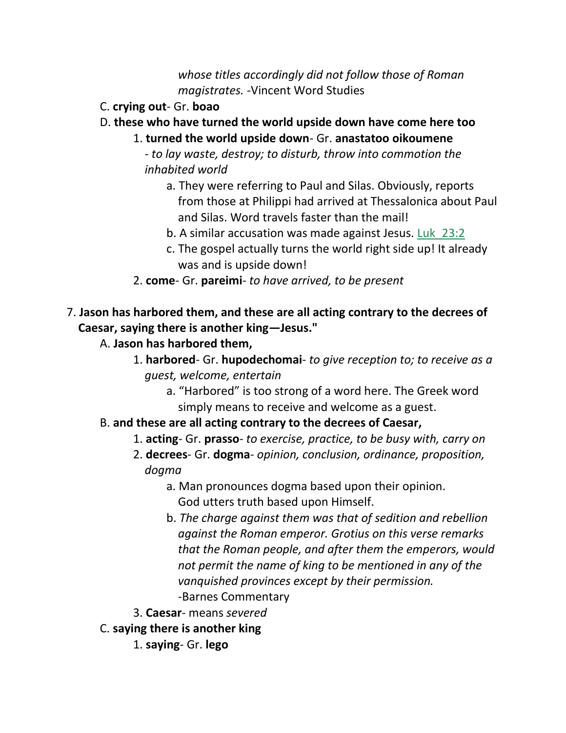*whose titles accordingly did not follow those of Roman magistrates.* -Vincent Word Studies

- C. **crying out** Gr. **boao**
- D. **these who have turned the world upside down have come here too**
	- 1. **turned the world upside down** Gr. **anastatoo oikoumene**

 - *to lay waste, destroy; to disturb, throw into commotion the inhabited world*

- a. They were referring to Paul and Silas. Obviously, reports from those at Philippi had arrived at Thessalonica about Paul and Silas. Word travels faster than the mail!
- b. A similar accusation was made against Jesus. Luk 23:2
- c. The gospel actually turns the world right side up! It already was and is upside down!
- 2. **come** Gr. **pareimi** *to have arrived, to be present*
- 7. **Jason has harbored them, and these are all acting contrary to the decrees of Caesar, saying there is another king—Jesus."**
	- A. **Jason has harbored them,**
		- 1. **harbored** Gr. **hupodechomai** *to give reception to; to receive as a guest, welcome, entertain*
			- a. "Harbored" is too strong of a word here. The Greek word simply means to receive and welcome as a guest.
	- B. **and these are all acting contrary to the decrees of Caesar,**
		- 1. **acting** Gr. **prasso** *to exercise, practice, to be busy with, carry on*
		- 2. **decrees** Gr. **dogma** *opinion, conclusion, ordinance, proposition, dogma*
			- a. Man pronounces dogma based upon their opinion. God utters truth based upon Himself.
			- b. *The charge against them was that of sedition and rebellion against the Roman emperor. Grotius on this verse remarks that the Roman people, and after them the emperors, would not permit the name of king to be mentioned in any of the vanquished provinces except by their permission.* -Barnes Commentary
		- 3. **Caesar** means *severed*
	- C. **saying there is another king**

1. **saying**- Gr. **lego**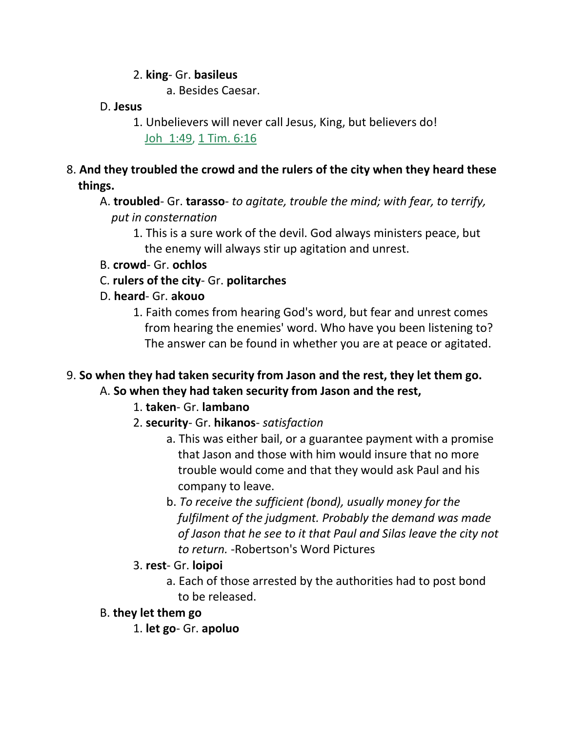### 2. **king**- Gr. **basileus**

- a. Besides Caesar.
- D. **Jesus**
	- 1. Unbelievers will never call Jesus, King, but believers do! Joh\_1:49, 1 Tim. 6:16
- 8. **And they troubled the crowd and the rulers of the city when they heard these things.**
	- A. **troubled** Gr. **tarasso** *to agitate, trouble the mind; with fear, to terrify, put in consternation*
		- 1. This is a sure work of the devil. God always ministers peace, but the enemy will always stir up agitation and unrest.
	- B. **crowd** Gr. **ochlos**
	- C. **rulers of the city** Gr. **politarches**
	- D. **heard** Gr. **akouo**
		- 1. Faith comes from hearing God's word, but fear and unrest comes from hearing the enemies' word. Who have you been listening to? The answer can be found in whether you are at peace or agitated.
- 9. **So when they had taken security from Jason and the rest, they let them go.** A. **So when they had taken security from Jason and the rest,**
	- 1. **taken** Gr. **lambano**
	- 2. **security** Gr. **hikanos** *satisfaction*
		- a. This was either bail, or a guarantee payment with a promise that Jason and those with him would insure that no more trouble would come and that they would ask Paul and his company to leave.
		- b. *To receive the sufficient (bond), usually money for the fulfilment of the judgment. Probably the demand was made of Jason that he see to it that Paul and Silas leave the city not to return.* -Robertson's Word Pictures
	- 3. **rest** Gr. **loipoi**
		- a. Each of those arrested by the authorities had to post bond to be released.
	- B. **they let them go**
		- 1. **let go** Gr. **apoluo**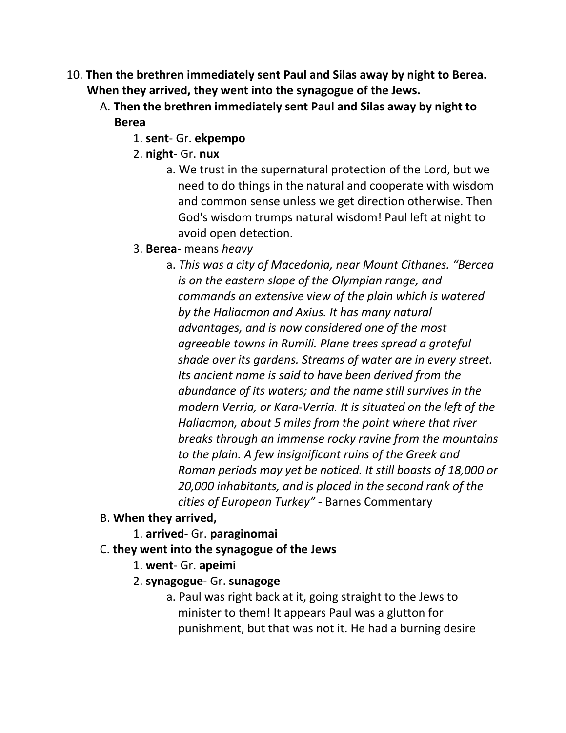- 10. **Then the brethren immediately sent Paul and Silas away by night to Berea. When they arrived, they went into the synagogue of the Jews.**
	- A. **Then the brethren immediately sent Paul and Silas away by night to Berea**
		- 1. **sent** Gr. **ekpempo**
		- 2. **night** Gr. **nux**
			- a. We trust in the supernatural protection of the Lord, but we need to do things in the natural and cooperate with wisdom and common sense unless we get direction otherwise. Then God's wisdom trumps natural wisdom! Paul left at night to avoid open detection.
		- 3. **Berea** means *heavy*
			- a. *This was a city of Macedonia, near Mount Cithanes. "Bercea is on the eastern slope of the Olympian range, and commands an extensive view of the plain which is watered by the Haliacmon and Axius. It has many natural advantages, and is now considered one of the most agreeable towns in Rumili. Plane trees spread a grateful shade over its gardens. Streams of water are in every street. Its ancient name is said to have been derived from the abundance of its waters; and the name still survives in the modern Verria, or Kara-Verria. It is situated on the left of the Haliacmon, about 5 miles from the point where that river breaks through an immense rocky ravine from the mountains to the plain. A few insignificant ruins of the Greek and Roman periods may yet be noticed. It still boasts of 18,000 or 20,000 inhabitants, and is placed in the second rank of the cities of European Turkey"* - Barnes Commentary
	- B. **When they arrived,**
		- 1. **arrived** Gr. **paraginomai**
	- C. **they went into the synagogue of the Jews**
		- 1. **went** Gr. **apeimi**
		- 2. **synagogue** Gr. **sunagoge**
			- a. Paul was right back at it, going straight to the Jews to minister to them! It appears Paul was a glutton for punishment, but that was not it. He had a burning desire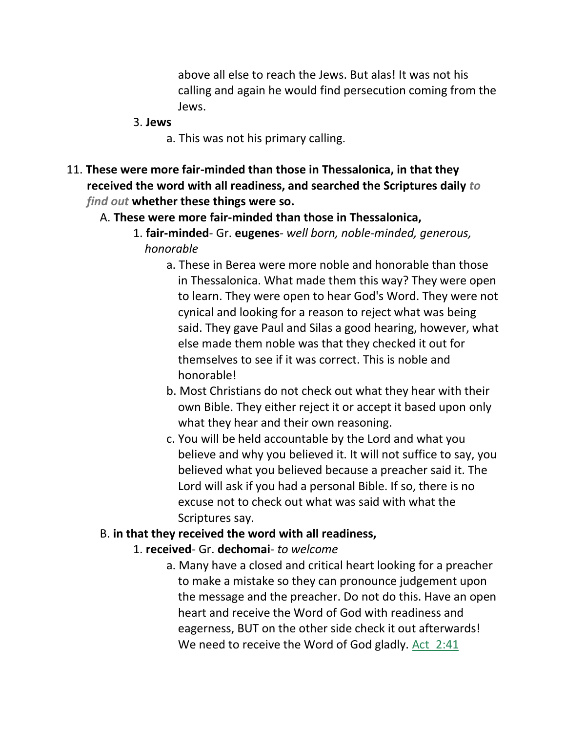above all else to reach the Jews. But alas! It was not his calling and again he would find persecution coming from the Jews.

- 3. **Jews**
	- a. This was not his primary calling.
- 11. **These were more fair-minded than those in Thessalonica, in that they received the word with all readiness, and searched the Scriptures daily** *to find out* **whether these things were so.**
	- A. **These were more fair-minded than those in Thessalonica,**
		- 1. **fair-minded** Gr. **eugenes** *well born, noble-minded, generous, honorable*
			- a. These in Berea were more noble and honorable than those in Thessalonica. What made them this way? They were open to learn. They were open to hear God's Word. They were not cynical and looking for a reason to reject what was being said. They gave Paul and Silas a good hearing, however, what else made them noble was that they checked it out for themselves to see if it was correct. This is noble and honorable!
			- b. Most Christians do not check out what they hear with their own Bible. They either reject it or accept it based upon only what they hear and their own reasoning.
			- c. You will be held accountable by the Lord and what you believe and why you believed it. It will not suffice to say, you believed what you believed because a preacher said it. The Lord will ask if you had a personal Bible. If so, there is no excuse not to check out what was said with what the Scriptures say.

#### B. **in that they received the word with all readiness,**

- 1. **received** Gr. **dechomai** *to welcome*
	- a. Many have a closed and critical heart looking for a preacher to make a mistake so they can pronounce judgement upon the message and the preacher. Do not do this. Have an open heart and receive the Word of God with readiness and eagerness, BUT on the other side check it out afterwards! We need to receive the Word of God gladly. Act 2:41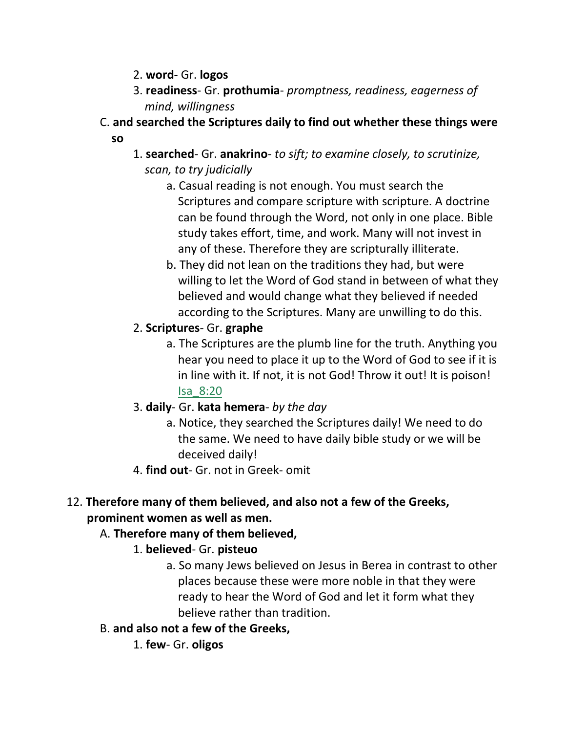- 2. **word** Gr. **logos**
- 3. **readiness** Gr. **prothumia** *promptness, readiness, eagerness of mind, willingness*
- C. **and searched the Scriptures daily to find out whether these things were so**
	- 1. **searched** Gr. **anakrino** *to sift; to examine closely, to scrutinize, scan, to try judicially*
		- a. Casual reading is not enough. You must search the Scriptures and compare scripture with scripture. A doctrine can be found through the Word, not only in one place. Bible study takes effort, time, and work. Many will not invest in any of these. Therefore they are scripturally illiterate.
		- b. They did not lean on the traditions they had, but were willing to let the Word of God stand in between of what they believed and would change what they believed if needed according to the Scriptures. Many are unwilling to do this.
	- 2. **Scriptures** Gr. **graphe**
		- a. The Scriptures are the plumb line for the truth. Anything you hear you need to place it up to the Word of God to see if it is in line with it. If not, it is not God! Throw it out! It is poison! Isa\_8:20
	- 3. **daily** Gr. **kata hemera** *by the day*
		- a. Notice, they searched the Scriptures daily! We need to do the same. We need to have daily bible study or we will be deceived daily!
	- 4. **find out** Gr. not in Greek- omit

# 12. **Therefore many of them believed, and also not a few of the Greeks, prominent women as well as men.**

## A. **Therefore many of them believed,**

# 1. **believed**- Gr. **pisteuo**

- a. So many Jews believed on Jesus in Berea in contrast to other places because these were more noble in that they were ready to hear the Word of God and let it form what they believe rather than tradition.
- B. **and also not a few of the Greeks,**
	- 1. **few** Gr. **oligos**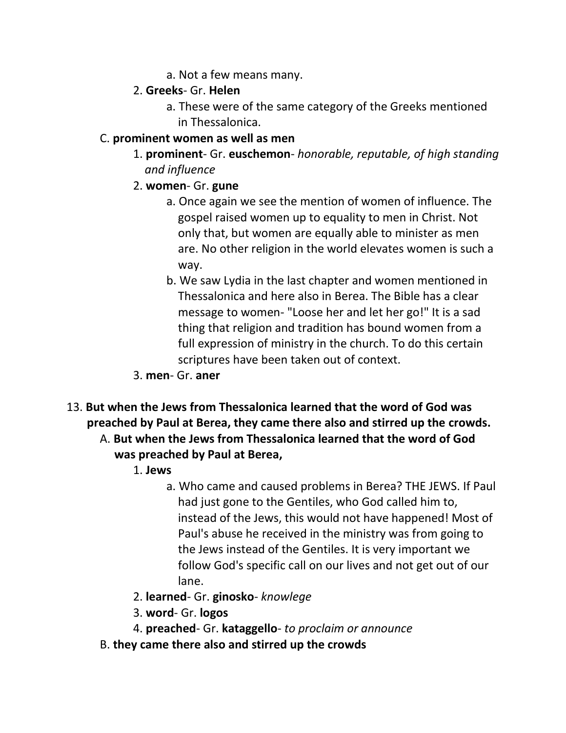a. Not a few means many.

# 2. **Greeks**- Gr. **Helen**

a. These were of the same category of the Greeks mentioned in Thessalonica.

## C. **prominent women as well as men**

- 1. **prominent** Gr. **euschemon** *honorable, reputable, of high standing and influence*
- 2. **women** Gr. **gune**
	- a. Once again we see the mention of women of influence. The gospel raised women up to equality to men in Christ. Not only that, but women are equally able to minister as men are. No other religion in the world elevates women is such a way.
	- b. We saw Lydia in the last chapter and women mentioned in Thessalonica and here also in Berea. The Bible has a clear message to women- "Loose her and let her go!" It is a sad thing that religion and tradition has bound women from a full expression of ministry in the church. To do this certain scriptures have been taken out of context.
- 3. **men** Gr. **aner**
- 13. **But when the Jews from Thessalonica learned that the word of God was preached by Paul at Berea, they came there also and stirred up the crowds.** A. **But when the Jews from Thessalonica learned that the word of God**

# **was preached by Paul at Berea,**

- 1. **Jews**
	- a. Who came and caused problems in Berea? THE JEWS. If Paul had just gone to the Gentiles, who God called him to, instead of the Jews, this would not have happened! Most of Paul's abuse he received in the ministry was from going to the Jews instead of the Gentiles. It is very important we follow God's specific call on our lives and not get out of our lane.
- 2. **learned** Gr. **ginosko** *knowlege*
- 3. **word** Gr. **logos**
- 4. **preached** Gr. **kataggello** *to proclaim or announce*
- B. **they came there also and stirred up the crowds**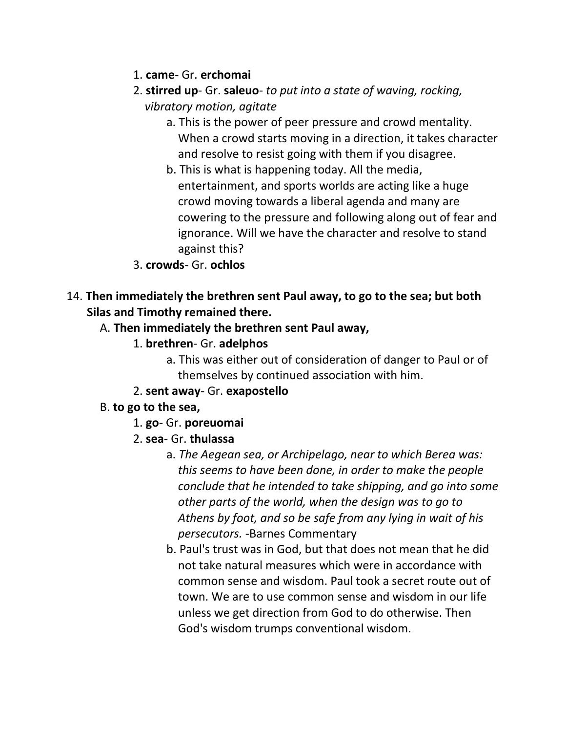- 1. **came** Gr. **erchomai**
- 2. **stirred up** Gr. **saleuo** *to put into a state of waving, rocking, vibratory motion, agitate*
	- a. This is the power of peer pressure and crowd mentality. When a crowd starts moving in a direction, it takes character and resolve to resist going with them if you disagree.
	- b. This is what is happening today. All the media, entertainment, and sports worlds are acting like a huge crowd moving towards a liberal agenda and many are cowering to the pressure and following along out of fear and ignorance. Will we have the character and resolve to stand against this?
- 3. **crowds** Gr. **ochlos**

## 14. **Then immediately the brethren sent Paul away, to go to the sea; but both Silas and Timothy remained there.**

### A. **Then immediately the brethren sent Paul away,**

- 1. **brethren** Gr. **adelphos**
	- a. This was either out of consideration of danger to Paul or of themselves by continued association with him.
- 2. **sent away** Gr. **exapostello**

## B. **to go to the sea,**

- 1. **go** Gr. **poreuomai**
- 2. **sea** Gr. **thulassa**
	- a. *The Aegean sea, or Archipelago, near to which Berea was: this seems to have been done, in order to make the people conclude that he intended to take shipping, and go into some other parts of the world, when the design was to go to Athens by foot, and so be safe from any lying in wait of his persecutors.* -Barnes Commentary
	- b. Paul's trust was in God, but that does not mean that he did not take natural measures which were in accordance with common sense and wisdom. Paul took a secret route out of town. We are to use common sense and wisdom in our life unless we get direction from God to do otherwise. Then God's wisdom trumps conventional wisdom.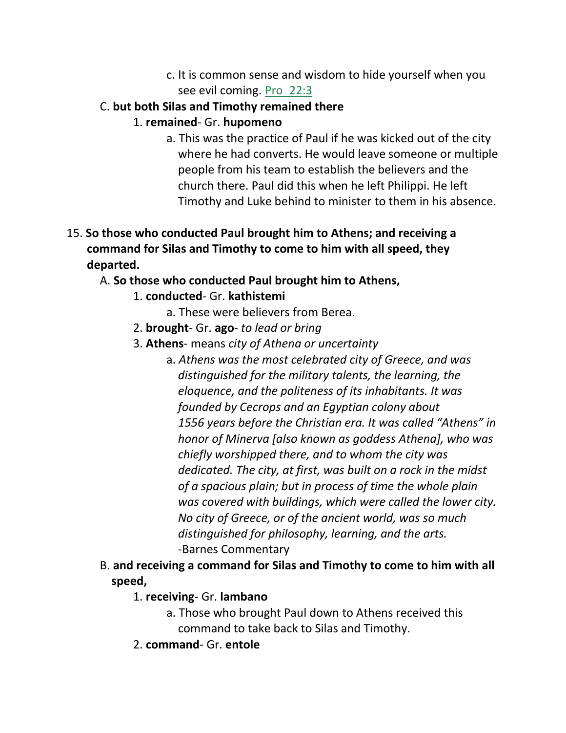c. It is common sense and wisdom to hide yourself when you see evil coming. Pro 22:3

### C. **but both Silas and Timothy remained there**

- 1. **remained** Gr. **hupomeno**
	- a. This was the practice of Paul if he was kicked out of the city where he had converts. He would leave someone or multiple people from his team to establish the believers and the church there. Paul did this when he left Philippi. He left Timothy and Luke behind to minister to them in his absence.
- 15. **So those who conducted Paul brought him to Athens; and receiving a command for Silas and Timothy to come to him with all speed, they departed.**

## A. **So those who conducted Paul brought him to Athens,**

- 1. **conducted** Gr. **kathistemi**
	- a. These were believers from Berea.
- 2. **brought** Gr. **ago** *to lead or bring*
- 3. **Athens** means *city of Athena or uncertainty*
	- a. *Athens was the most celebrated city of Greece, and was distinguished for the military talents, the learning, the eloquence, and the politeness of its inhabitants. It was founded by Cecrops and an Egyptian colony about 1556 years before the Christian era. It was called "Athens" in honor of Minerva [also known as goddess Athena], who was chiefly worshipped there, and to whom the city was dedicated. The city, at first, was built on a rock in the midst of a spacious plain; but in process of time the whole plain was covered with buildings, which were called the lower city. No city of Greece, or of the ancient world, was so much distinguished for philosophy, learning, and the arts.* -Barnes Commentary
- B. **and receiving a command for Silas and Timothy to come to him with all speed,**
	- 1. **receiving** Gr. **lambano**
		- a. Those who brought Paul down to Athens received this command to take back to Silas and Timothy.
	- 2. **command** Gr. **entole**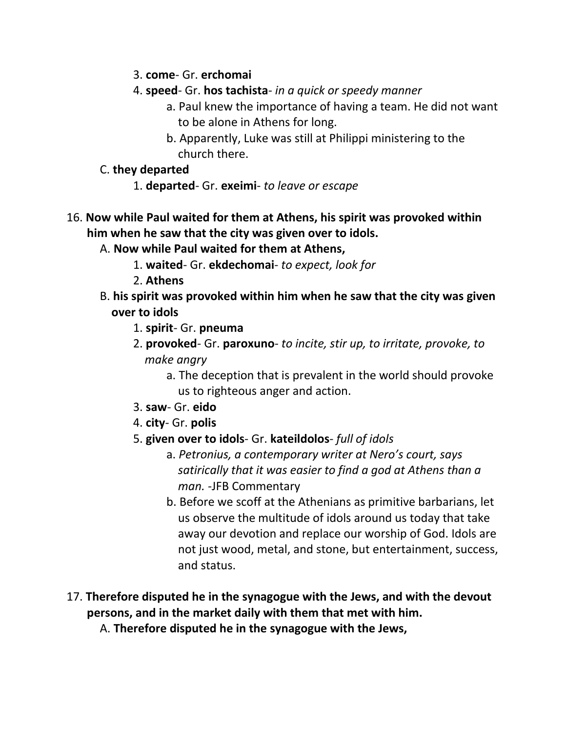- 3. **come** Gr. **erchomai**
- 4. **speed** Gr. **hos tachista** *in a quick or speedy manner*
	- a. Paul knew the importance of having a team. He did not want to be alone in Athens for long.
	- b. Apparently, Luke was still at Philippi ministering to the church there.

### C. **they departed**

- 1. **departed** Gr. **exeimi** *to leave or escape*
- 16. **Now while Paul waited for them at Athens, his spirit was provoked within him when he saw that the city was given over to idols.**
	- A. **Now while Paul waited for them at Athens,**
		- 1. **waited** Gr. **ekdechomai** *to expect, look for*
		- 2. **Athens**
	- B. **his spirit was provoked within him when he saw that the city was given over to idols**
		- 1. **spirit** Gr. **pneuma**
		- 2. **provoked** Gr. **paroxuno** *to incite, stir up, to irritate, provoke, to make angry*
			- a. The deception that is prevalent in the world should provoke us to righteous anger and action.
		- 3. **saw** Gr. **eido**
		- 4. **city** Gr. **polis**
		- 5. **given over to idols** Gr. **kateildolos** *full of idols*
			- a. *Petronius, a contemporary writer at Nero's court, says satirically that it was easier to find a god at Athens than a man.* -JFB Commentary
			- b. Before we scoff at the Athenians as primitive barbarians, let us observe the multitude of idols around us today that take away our devotion and replace our worship of God. Idols are not just wood, metal, and stone, but entertainment, success, and status.
- 17. **Therefore disputed he in the synagogue with the Jews, and with the devout persons, and in the market daily with them that met with him.**
	- A. **Therefore disputed he in the synagogue with the Jews,**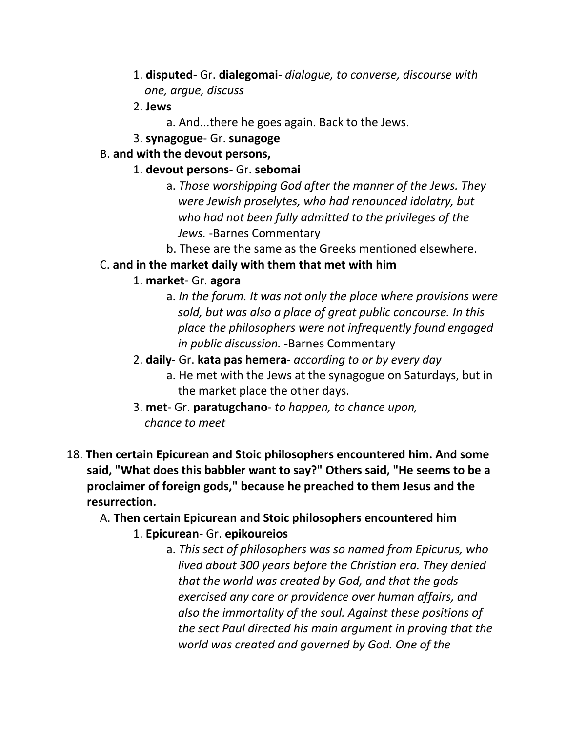- 1. **disputed** Gr. **dialegomai** *dialogue, to converse, discourse with one, argue, discuss*
- 2. **Jews**
	- a. And...there he goes again. Back to the Jews.
- 3. **synagogue** Gr. **sunagoge**

#### B. **and with the devout persons,**

- 1. **devout persons** Gr. **sebomai**
	- a. *Those worshipping God after the manner of the Jews. They were Jewish proselytes, who had renounced idolatry, but who had not been fully admitted to the privileges of the Jews.* -Barnes Commentary
	- b. These are the same as the Greeks mentioned elsewhere.

#### C. **and in the market daily with them that met with him**

#### 1. **market**- Gr. **agora**

- a. *In the forum. It was not only the place where provisions were sold, but was also a place of great public concourse. In this place the philosophers were not infrequently found engaged in public discussion.* -Barnes Commentary
- 2. **daily** Gr. **kata pas hemera** *according to or by every day*
	- a. He met with the Jews at the synagogue on Saturdays, but in the market place the other days.
- 3. **met** Gr. **paratugchano** *to happen, to chance upon, chance to meet*
- 18. **Then certain Epicurean and Stoic philosophers encountered him. And some said, "What does this babbler want to say?" Others said, "He seems to be a proclaimer of foreign gods," because he preached to them Jesus and the resurrection.**
	- A. **Then certain Epicurean and Stoic philosophers encountered him**
		- 1. **Epicurean** Gr. **epikoureios**
			- a. *This sect of philosophers was so named from Epicurus, who lived about 300 years before the Christian era. They denied that the world was created by God, and that the gods exercised any care or providence over human affairs, and also the immortality of the soul. Against these positions of the sect Paul directed his main argument in proving that the world was created and governed by God. One of the*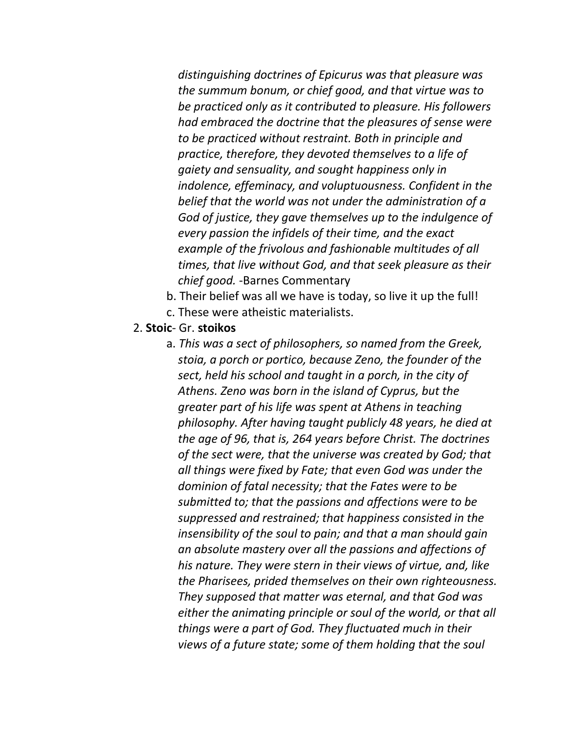*distinguishing doctrines of Epicurus was that pleasure was the summum bonum, or chief good, and that virtue was to be practiced only as it contributed to pleasure. His followers had embraced the doctrine that the pleasures of sense were to be practiced without restraint. Both in principle and practice, therefore, they devoted themselves to a life of gaiety and sensuality, and sought happiness only in indolence, effeminacy, and voluptuousness. Confident in the belief that the world was not under the administration of a God of justice, they gave themselves up to the indulgence of every passion the infidels of their time, and the exact example of the frivolous and fashionable multitudes of all times, that live without God, and that seek pleasure as their chief good.* -Barnes Commentary

- b. Their belief was all we have is today, so live it up the full!
- c. These were atheistic materialists.

#### 2. **Stoic**- Gr. **stoikos**

a. *This was a sect of philosophers, so named from the Greek, stoia, a porch or portico, because Zeno, the founder of the sect, held his school and taught in a porch, in the city of Athens. Zeno was born in the island of Cyprus, but the greater part of his life was spent at Athens in teaching philosophy. After having taught publicly 48 years, he died at the age of 96, that is, 264 years before Christ. The doctrines of the sect were, that the universe was created by God; that all things were fixed by Fate; that even God was under the dominion of fatal necessity; that the Fates were to be submitted to; that the passions and affections were to be suppressed and restrained; that happiness consisted in the insensibility of the soul to pain; and that a man should gain an absolute mastery over all the passions and affections of his nature. They were stern in their views of virtue, and, like the Pharisees, prided themselves on their own righteousness. They supposed that matter was eternal, and that God was either the animating principle or soul of the world, or that all things were a part of God. They fluctuated much in their views of a future state; some of them holding that the soul*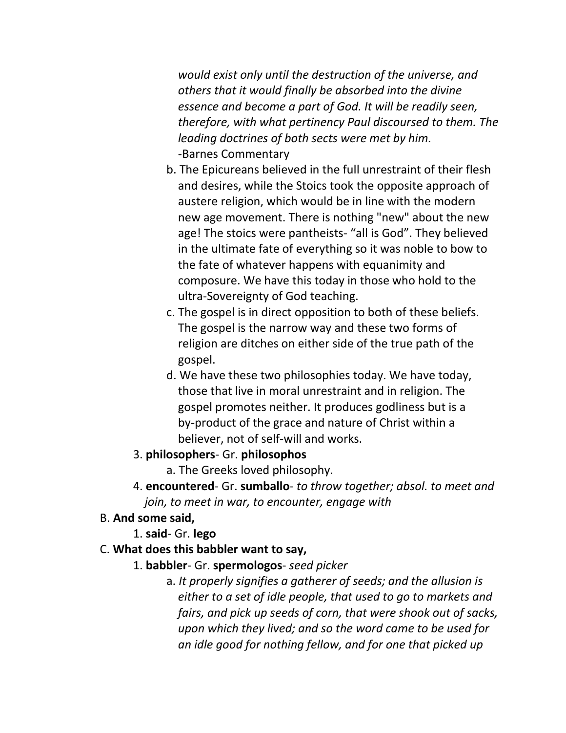*would exist only until the destruction of the universe, and others that it would finally be absorbed into the divine essence and become a part of God. It will be readily seen, therefore, with what pertinency Paul discoursed to them. The leading doctrines of both sects were met by him.* -Barnes Commentary

- b. The Epicureans believed in the full unrestraint of their flesh and desires, while the Stoics took the opposite approach of austere religion, which would be in line with the modern new age movement. There is nothing "new" about the new age! The stoics were pantheists- "all is God". They believed in the ultimate fate of everything so it was noble to bow to the fate of whatever happens with equanimity and composure. We have this today in those who hold to the ultra-Sovereignty of God teaching.
- c. The gospel is in direct opposition to both of these beliefs. The gospel is the narrow way and these two forms of religion are ditches on either side of the true path of the gospel.
- d. We have these two philosophies today. We have today, those that live in moral unrestraint and in religion. The gospel promotes neither. It produces godliness but is a by-product of the grace and nature of Christ within a believer, not of self-will and works.

### 3. **philosophers**- Gr. **philosophos**

a. The Greeks loved philosophy.

4. **encountered**- Gr. **sumballo**- *to throw together; absol. to meet and join, to meet in war, to encounter, engage with*

### B. **And some said,**

- 1. **said** Gr. **lego**
- C. **What does this babbler want to say,**
	- 1. **babbler** Gr. **spermologos** *seed picker*
		- a. *It properly signifies a gatherer of seeds; and the allusion is either to a set of idle people, that used to go to markets and fairs, and pick up seeds of corn, that were shook out of sacks, upon which they lived; and so the word came to be used for an idle good for nothing fellow, and for one that picked up*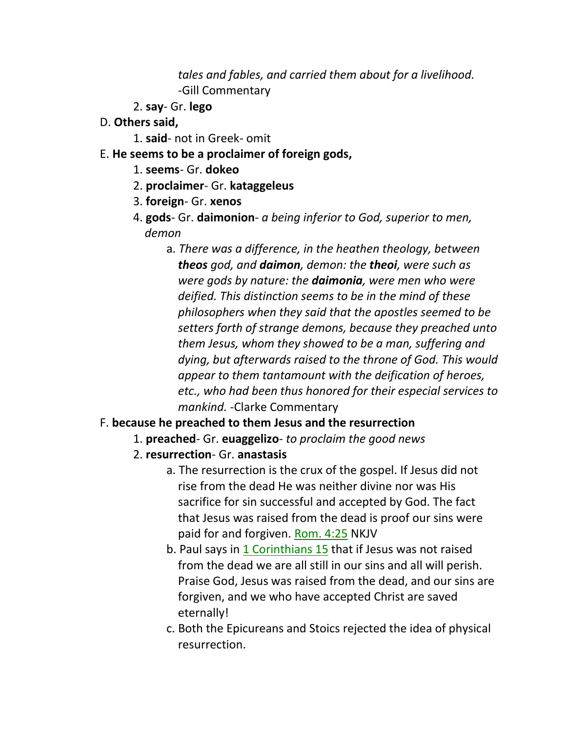*tales and fables, and carried them about for a livelihood.* -Gill Commentary

- 2. **say** Gr. **lego**
- D. **Others said,**
	- 1. **said** not in Greek- omit
- E. **He seems to be a proclaimer of foreign gods,**
	- 1. **seems** Gr. **dokeo**
	- 2. **proclaimer** Gr. **kataggeleus**
	- 3. **foreign** Gr. **xenos**
	- 4. **gods** Gr. **daimonion** *a being inferior to God, superior to men, demon*
		- a. *There was a difference, in the heathen theology, between theos god, and daimon, demon: the theoi, were such as were gods by nature: the daimonia, were men who were deified. This distinction seems to be in the mind of these philosophers when they said that the apostles seemed to be setters forth of strange demons, because they preached unto them Jesus, whom they showed to be a man, suffering and dying, but afterwards raised to the throne of God. This would appear to them tantamount with the deification of heroes, etc., who had been thus honored for their especial services to mankind.* -Clarke Commentary

## F. **because he preached to them Jesus and the resurrection**

- 1. **preached** Gr. **euaggelizo** *to proclaim the good news*
- 2. **resurrection** Gr. **anastasis**
	- a. The resurrection is the crux of the gospel. If Jesus did not rise from the dead He was neither divine nor was His sacrifice for sin successful and accepted by God. The fact that Jesus was raised from the dead is proof our sins were paid for and forgiven. Rom. 4:25 NKJV
	- b. Paul says in 1 Corinthians 15 that if Jesus was not raised from the dead we are all still in our sins and all will perish. Praise God, Jesus was raised from the dead, and our sins are forgiven, and we who have accepted Christ are saved eternally!
	- c. Both the Epicureans and Stoics rejected the idea of physical resurrection.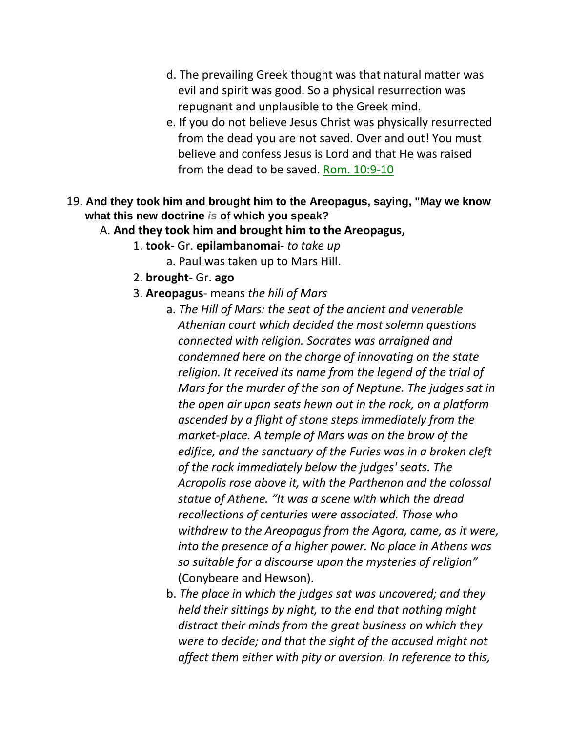- d. The prevailing Greek thought was that natural matter was evil and spirit was good. So a physical resurrection was repugnant and unplausible to the Greek mind.
- e. If you do not believe Jesus Christ was physically resurrected from the dead you are not saved. Over and out! You must believe and confess Jesus is Lord and that He was raised from the dead to be saved. Rom. 10:9-10
- 19. **And they took him and brought him to the Areopagus, saying, "May we know what this new doctrine** *is* **of which you speak?**
	- A. **And they took him and brought him to the Areopagus,**
		- 1. **took** Gr. **epilambanomai** *to take up*
			- a. Paul was taken up to Mars Hill.
		- 2. **brought** Gr. **ago**
		- 3. **Areopagus** means *the hill of Mars*
			- a. *The Hill of Mars: the seat of the ancient and venerable Athenian court which decided the most solemn questions connected with religion. Socrates was arraigned and condemned here on the charge of innovating on the state religion. It received its name from the legend of the trial of Mars for the murder of the son of Neptune. The judges sat in the open air upon seats hewn out in the rock, on a platform ascended by a flight of stone steps immediately from the market-place. A temple of Mars was on the brow of the edifice, and the sanctuary of the Furies was in a broken cleft of the rock immediately below the judges' seats. The Acropolis rose above it, with the Parthenon and the colossal statue of Athene. "It was a scene with which the dread recollections of centuries were associated. Those who withdrew to the Areopagus from the Agora, came, as it were, into the presence of a higher power. No place in Athens was so suitable for a discourse upon the mysteries of religion"* (Conybeare and Hewson).
			- b. *The place in which the judges sat was uncovered; and they held their sittings by night, to the end that nothing might distract their minds from the great business on which they were to decide; and that the sight of the accused might not affect them either with pity or aversion. In reference to this,*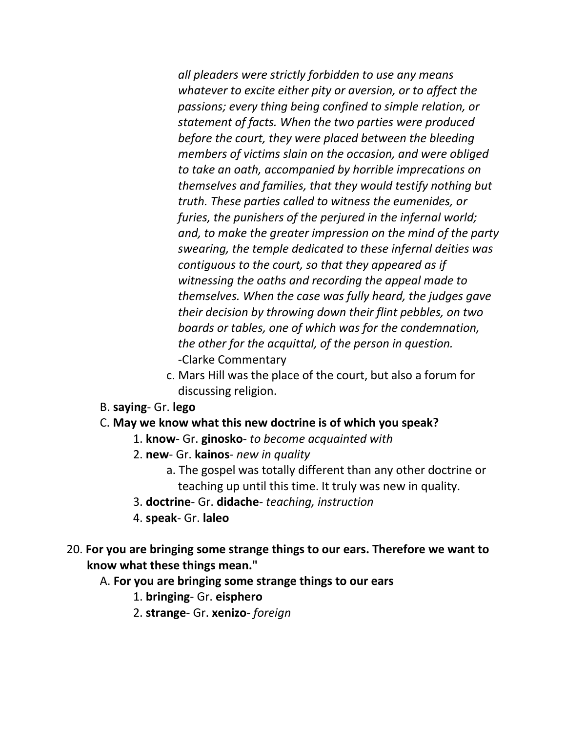*all pleaders were strictly forbidden to use any means whatever to excite either pity or aversion, or to affect the passions; every thing being confined to simple relation, or statement of facts. When the two parties were produced before the court, they were placed between the bleeding members of victims slain on the occasion, and were obliged to take an oath, accompanied by horrible imprecations on themselves and families, that they would testify nothing but truth. These parties called to witness the eumenides, or furies, the punishers of the perjured in the infernal world; and, to make the greater impression on the mind of the party swearing, the temple dedicated to these infernal deities was contiguous to the court, so that they appeared as if witnessing the oaths and recording the appeal made to themselves. When the case was fully heard, the judges gave their decision by throwing down their flint pebbles, on two boards or tables, one of which was for the condemnation, the other for the acquittal, of the person in question.* -Clarke Commentary

- c. Mars Hill was the place of the court, but also a forum for discussing religion.
- B. **saying** Gr. **lego**

#### C. **May we know what this new doctrine is of which you speak?**

- 1. **know** Gr. **ginosko** *to become acquainted with*
- 2. **new** Gr. **kainos** *new in quality*
	- a. The gospel was totally different than any other doctrine or teaching up until this time. It truly was new in quality.
- 3. **doctrine** Gr. **didache** *teaching, instruction*
- 4. **speak** Gr. **laleo**
- 20. **For you are bringing some strange things to our ears. Therefore we want to know what these things mean."**
	- A. **For you are bringing some strange things to our ears**
		- 1. **bringing** Gr. **eisphero**
		- 2. **strange** Gr. **xenizo** *foreign*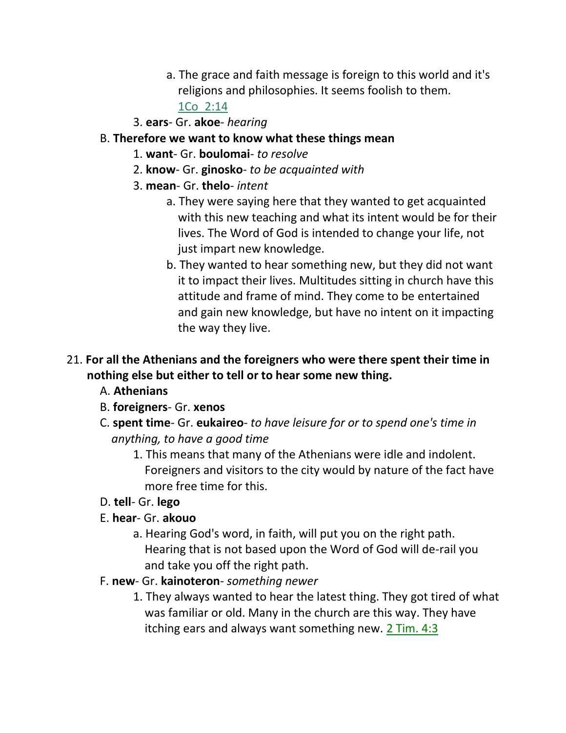- a. The grace and faith message is foreign to this world and it's religions and philosophies. It seems foolish to them. 1Co\_2:14
- 3. **ears** Gr. **akoe** *hearing*
- B. **Therefore we want to know what these things mean**
	- 1. **want** Gr. **boulomai** *to resolve*
	- 2. **know** Gr. **ginosko** *to be acquainted with*
	- 3. **mean** Gr. **thelo** *intent*
		- a. They were saying here that they wanted to get acquainted with this new teaching and what its intent would be for their lives. The Word of God is intended to change your life, not just impart new knowledge.
		- b. They wanted to hear something new, but they did not want it to impact their lives. Multitudes sitting in church have this attitude and frame of mind. They come to be entertained and gain new knowledge, but have no intent on it impacting the way they live.

# 21. **For all the Athenians and the foreigners who were there spent their time in nothing else but either to tell or to hear some new thing.**

- A. **Athenians**
- B. **foreigners** Gr. **xenos**
- C. **spent time** Gr. **eukaireo** *to have leisure for or to spend one's time in anything, to have a good time*
	- 1. This means that many of the Athenians were idle and indolent. Foreigners and visitors to the city would by nature of the fact have more free time for this.
- D. **tell** Gr. **lego**
- E. **hear** Gr. **akouo**
	- a. Hearing God's word, in faith, will put you on the right path. Hearing that is not based upon the Word of God will de-rail you and take you off the right path.
- F. **new** Gr. **kainoteron** *something newer*
	- 1. They always wanted to hear the latest thing. They got tired of what was familiar or old. Many in the church are this way. They have itching ears and always want something new. 2 Tim. 4:3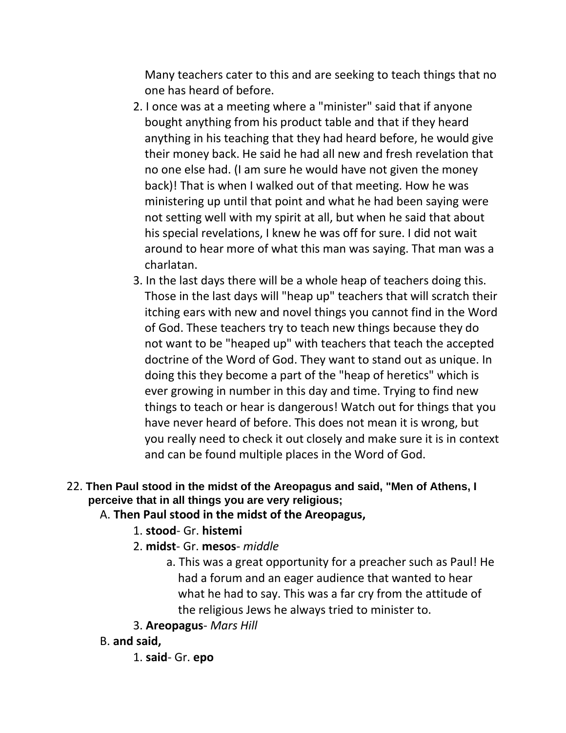Many teachers cater to this and are seeking to teach things that no one has heard of before.

- 2. I once was at a meeting where a "minister" said that if anyone bought anything from his product table and that if they heard anything in his teaching that they had heard before, he would give their money back. He said he had all new and fresh revelation that no one else had. (I am sure he would have not given the money back)! That is when I walked out of that meeting. How he was ministering up until that point and what he had been saying were not setting well with my spirit at all, but when he said that about his special revelations, I knew he was off for sure. I did not wait around to hear more of what this man was saying. That man was a charlatan.
- 3. In the last days there will be a whole heap of teachers doing this. Those in the last days will "heap up" teachers that will scratch their itching ears with new and novel things you cannot find in the Word of God. These teachers try to teach new things because they do not want to be "heaped up" with teachers that teach the accepted doctrine of the Word of God. They want to stand out as unique. In doing this they become a part of the "heap of heretics" which is ever growing in number in this day and time. Trying to find new things to teach or hear is dangerous! Watch out for things that you have never heard of before. This does not mean it is wrong, but you really need to check it out closely and make sure it is in context and can be found multiple places in the Word of God.

## 22. **Then Paul stood in the midst of the Areopagus and said, "Men of Athens, I perceive that in all things you are very religious;**

### A. **Then Paul stood in the midst of the Areopagus,**

- 1. **stood** Gr. **histemi**
- 2. **midst** Gr. **mesos** *middle*
	- a. This was a great opportunity for a preacher such as Paul! He had a forum and an eager audience that wanted to hear what he had to say. This was a far cry from the attitude of the religious Jews he always tried to minister to.
- 3. **Areopagus** *Mars Hill*

#### B. **and said,**

1. **said**- Gr. **epo**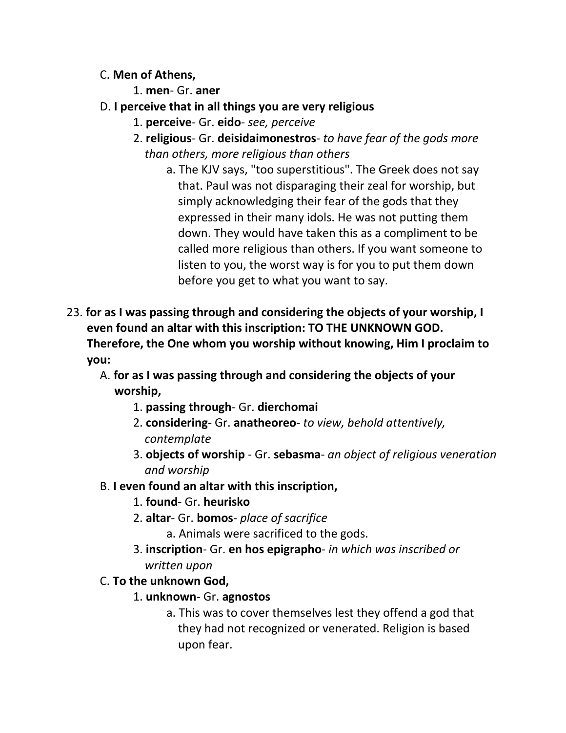### C. **Men of Athens,**

- 1. **men** Gr. **aner**
- D. **I perceive that in all things you are very religious**
	- 1. **perceive** Gr. **eido** *see, perceive*
	- 2. **religious** Gr. **deisidaimonestros** *to have fear of the gods more than others, more religious than others*
		- a. The KJV says, "too superstitious". The Greek does not say that. Paul was not disparaging their zeal for worship, but simply acknowledging their fear of the gods that they expressed in their many idols. He was not putting them down. They would have taken this as a compliment to be called more religious than others. If you want someone to listen to you, the worst way is for you to put them down before you get to what you want to say.
- 23. **for as I was passing through and considering the objects of your worship, I even found an altar with this inscription: TO THE UNKNOWN GOD. Therefore, the One whom you worship without knowing, Him I proclaim to you:**
	- A. **for as I was passing through and considering the objects of your worship,**
		- 1. **passing through** Gr. **dierchomai**
		- 2. **considering** Gr. **anatheoreo** *to view, behold attentively, contemplate*
		- 3. **objects of worship** Gr. **sebasma** *an object of religious veneration and worship*
	- B. **I even found an altar with this inscription,**
		- 1. **found** Gr. **heurisko**
		- 2. **altar** Gr. **bomos** *place of sacrifice*
			- a. Animals were sacrificed to the gods.
		- 3. **inscription** Gr. **en hos epigrapho** *in which was inscribed or written upon*
	- C. **To the unknown God,**
		- 1. **unknown** Gr. **agnostos**
			- a. This was to cover themselves lest they offend a god that they had not recognized or venerated. Religion is based upon fear.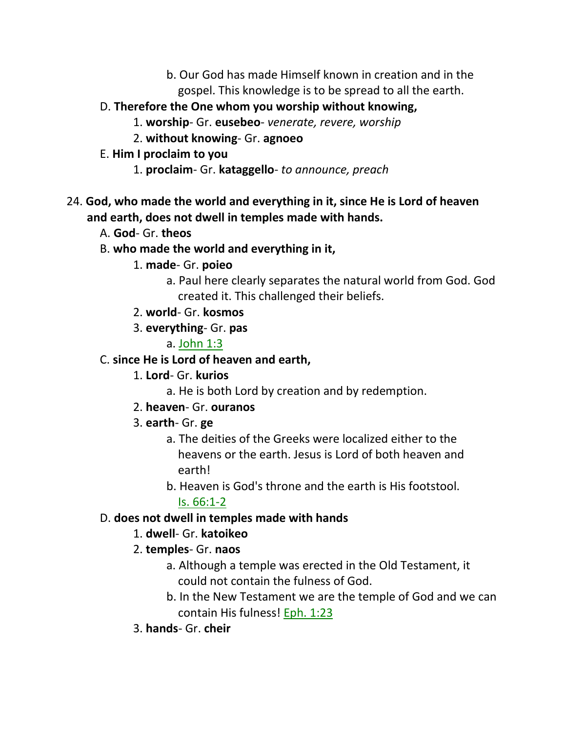- b. Our God has made Himself known in creation and in the gospel. This knowledge is to be spread to all the earth.
- D. **Therefore the One whom you worship without knowing,**
	- 1. **worship** Gr. **eusebeo** *venerate, revere, worship*
	- 2. **without knowing** Gr. **agnoeo**
- E. **Him I proclaim to you**
	- 1. **proclaim** Gr. **kataggello** *to announce, preach*
- 24. **God, who made the world and everything in it, since He is Lord of heaven and earth, does not dwell in temples made with hands.**
	- A. **God** Gr. **theos**
	- B. **who made the world and everything in it,**
		- 1. **made** Gr. **poieo**
			- a. Paul here clearly separates the natural world from God. God created it. This challenged their beliefs.
		- 2. **world** Gr. **kosmos**
		- 3. **everything** Gr. **pas**
			- a. John 1:3
	- C. **since He is Lord of heaven and earth,**
		- 1. **Lord** Gr. **kurios**
			- a. He is both Lord by creation and by redemption.
		- 2. **heaven** Gr. **ouranos**
		- 3. **earth** Gr. **ge**
			- a. The deities of the Greeks were localized either to the heavens or the earth. Jesus is Lord of both heaven and earth!
			- b. Heaven is God's throne and the earth is His footstool. Is. 66:1-2

# D. **does not dwell in temples made with hands**

# 1. **dwell**- Gr. **katoikeo**

- 2. **temples** Gr. **naos**
	- a. Although a temple was erected in the Old Testament, it could not contain the fulness of God.
	- b. In the New Testament we are the temple of God and we can contain His fulness! Eph. 1:23
- 3. **hands** Gr. **cheir**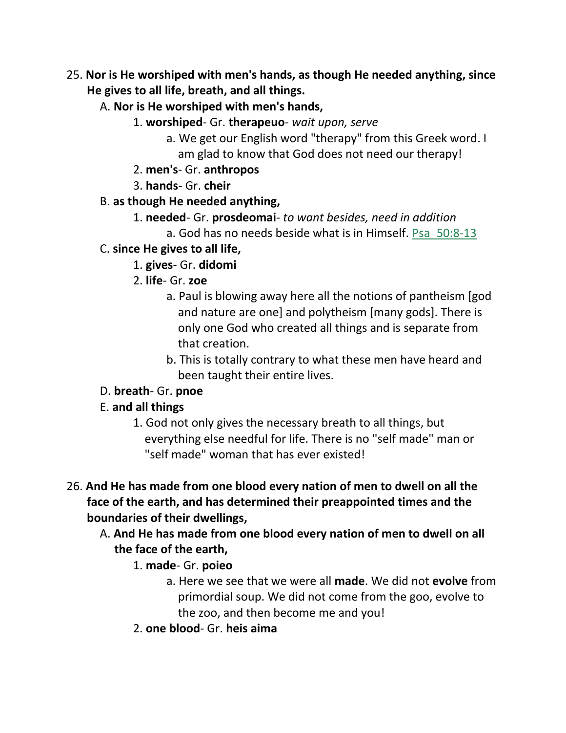- 25. **Nor is He worshiped with men's hands, as though He needed anything, since He gives to all life, breath, and all things.**
	- A. **Nor is He worshiped with men's hands,**
		- 1. **worshiped** Gr. **therapeuo** *wait upon, serve*
			- a. We get our English word "therapy" from this Greek word. I am glad to know that God does not need our therapy!
		- 2. **men's** Gr. **anthropos**
		- 3. **hands** Gr. **cheir**
	- B. **as though He needed anything,**
		- 1. **needed** Gr. **prosdeomai** *to want besides, need in addition*
			- a. God has no needs beside what is in Himself. Psa\_50:8-13
	- C. **since He gives to all life,**
		- 1. **gives** Gr. **didomi**
		- 2. **life** Gr. **zoe**
			- a. Paul is blowing away here all the notions of pantheism [god and nature are one] and polytheism [many gods]. There is only one God who created all things and is separate from that creation.
			- b. This is totally contrary to what these men have heard and been taught their entire lives.
	- D. **breath** Gr. **pnoe**

## E. **and all things**

- 1. God not only gives the necessary breath to all things, but everything else needful for life. There is no "self made" man or "self made" woman that has ever existed!
- 26. **And He has made from one blood every nation of men to dwell on all the face of the earth, and has determined their preappointed times and the boundaries of their dwellings,**
	- A. **And He has made from one blood every nation of men to dwell on all the face of the earth,**
		- 1. **made** Gr. **poieo**
			- a. Here we see that we were all **made**. We did not **evolve** from primordial soup. We did not come from the goo, evolve to the zoo, and then become me and you!
		- 2. **one blood** Gr. **heis aima**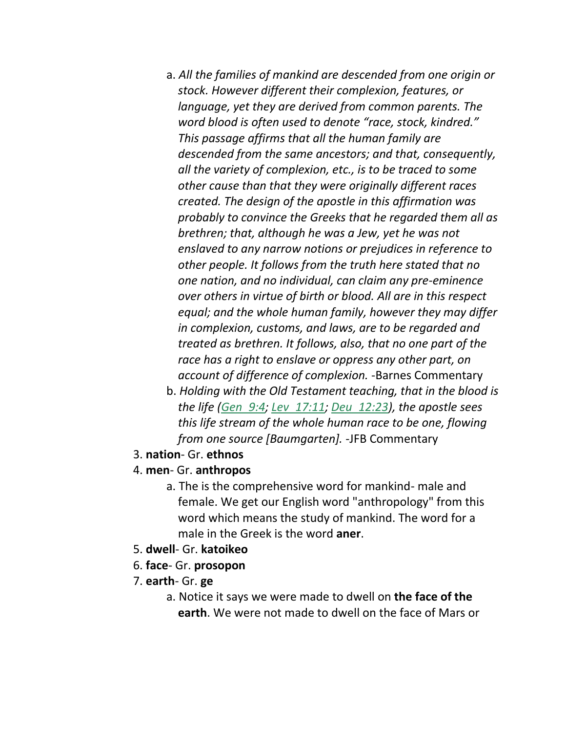- a. *All the families of mankind are descended from one origin or stock. However different their complexion, features, or language, yet they are derived from common parents. The word blood is often used to denote "race, stock, kindred." This passage affirms that all the human family are descended from the same ancestors; and that, consequently, all the variety of complexion, etc., is to be traced to some other cause than that they were originally different races created. The design of the apostle in this affirmation was probably to convince the Greeks that he regarded them all as brethren; that, although he was a Jew, yet he was not enslaved to any narrow notions or prejudices in reference to other people. It follows from the truth here stated that no one nation, and no individual, can claim any pre-eminence over others in virtue of birth or blood. All are in this respect equal; and the whole human family, however they may differ in complexion, customs, and laws, are to be regarded and treated as brethren. It follows, also, that no one part of the race has a right to enslave or oppress any other part, on account of difference of complexion.* -Barnes Commentary
- b. *Holding with the Old Testament teaching, that in the blood is the life (Gen\_9:4; Lev\_17:11; Deu\_12:23), the apostle sees this life stream of the whole human race to be one, flowing from one source [Baumgarten].* -JFB Commentary
- 3. **nation** Gr. **ethnos**
- 4. **men** Gr. **anthropos**
	- a. The is the comprehensive word for mankind- male and female. We get our English word "anthropology" from this word which means the study of mankind. The word for a male in the Greek is the word **aner**.
- 5. **dwell** Gr. **katoikeo**
- 6. **face** Gr. **prosopon**
- 7. **earth** Gr. **ge**
	- a. Notice it says we were made to dwell on **the face of the earth**. We were not made to dwell on the face of Mars or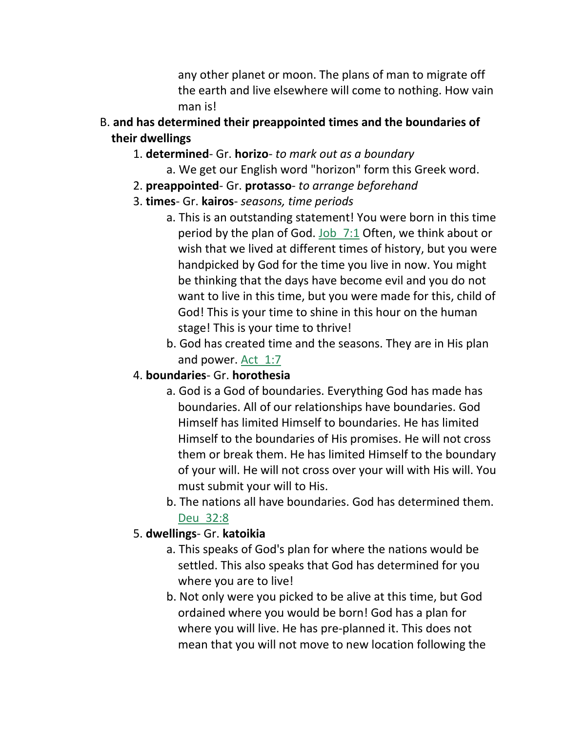any other planet or moon. The plans of man to migrate off the earth and live elsewhere will come to nothing. How vain man is!

- B. **and has determined their preappointed times and the boundaries of their dwellings**
	- 1. **determined** Gr. **horizo** *to mark out as a boundary*
		- a. We get our English word "horizon" form this Greek word.
	- 2. **preappointed** Gr. **protasso** *to arrange beforehand*
	- 3. **times** Gr. **kairos** *seasons, time periods*
		- a. This is an outstanding statement! You were born in this time period by the plan of God. Job  $7:1$  Often, we think about or wish that we lived at different times of history, but you were handpicked by God for the time you live in now. You might be thinking that the days have become evil and you do not want to live in this time, but you were made for this, child of God! This is your time to shine in this hour on the human stage! This is your time to thrive!
		- b. God has created time and the seasons. They are in His plan and power. Act\_1:7
	- 4. **boundaries** Gr. **horothesia**
		- a. God is a God of boundaries. Everything God has made has boundaries. All of our relationships have boundaries. God Himself has limited Himself to boundaries. He has limited Himself to the boundaries of His promises. He will not cross them or break them. He has limited Himself to the boundary of your will. He will not cross over your will with His will. You must submit your will to His.
		- b. The nations all have boundaries. God has determined them. Deu\_32:8

# 5. **dwellings**- Gr. **katoikia**

- a. This speaks of God's plan for where the nations would be settled. This also speaks that God has determined for you where you are to live!
- b. Not only were you picked to be alive at this time, but God ordained where you would be born! God has a plan for where you will live. He has pre-planned it. This does not mean that you will not move to new location following the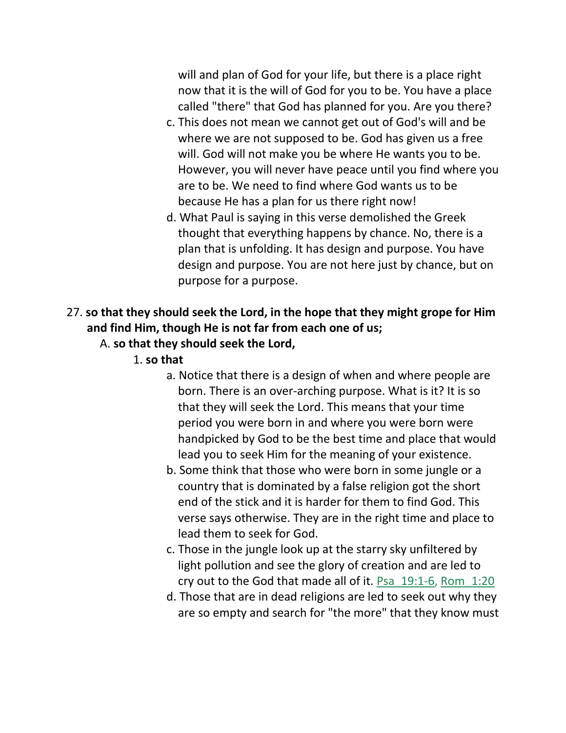will and plan of God for your life, but there is a place right now that it is the will of God for you to be. You have a place called "there" that God has planned for you. Are you there?

- c. This does not mean we cannot get out of God's will and be where we are not supposed to be. God has given us a free will. God will not make you be where He wants you to be. However, you will never have peace until you find where you are to be. We need to find where God wants us to be because He has a plan for us there right now!
- d. What Paul is saying in this verse demolished the Greek thought that everything happens by chance. No, there is a plan that is unfolding. It has design and purpose. You have design and purpose. You are not here just by chance, but on purpose for a purpose.

# 27. **so that they should seek the Lord, in the hope that they might grope for Him and find Him, though He is not far from each one of us;**

- A. **so that they should seek the Lord,**
	- 1. **so that**
		- a. Notice that there is a design of when and where people are born. There is an over-arching purpose. What is it? It is so that they will seek the Lord. This means that your time period you were born in and where you were born were handpicked by God to be the best time and place that would lead you to seek Him for the meaning of your existence.
		- b. Some think that those who were born in some jungle or a country that is dominated by a false religion got the short end of the stick and it is harder for them to find God. This verse says otherwise. They are in the right time and place to lead them to seek for God.
		- c. Those in the jungle look up at the starry sky unfiltered by light pollution and see the glory of creation and are led to cry out to the God that made all of it. Psa\_19:1-6, Rom\_1:20
		- d. Those that are in dead religions are led to seek out why they are so empty and search for "the more" that they know must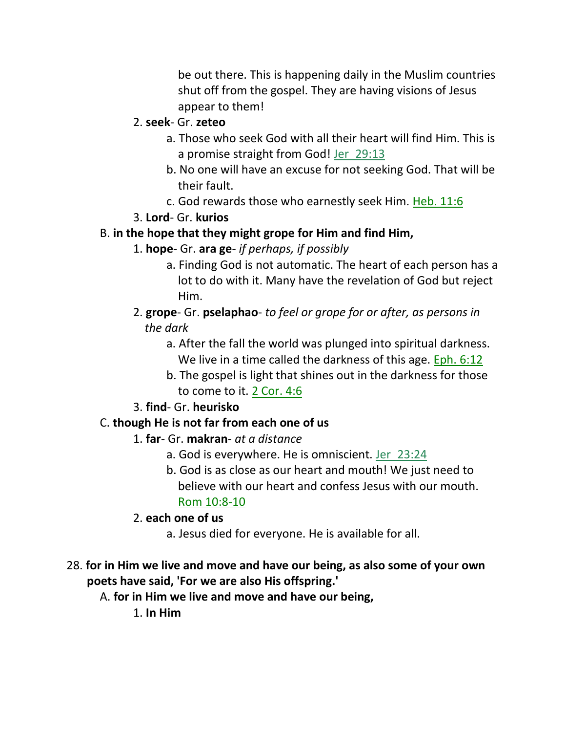be out there. This is happening daily in the Muslim countries shut off from the gospel. They are having visions of Jesus appear to them!

# 2. **seek**- Gr. **zeteo**

- a. Those who seek God with all their heart will find Him. This is a promise straight from God! Jer 29:13
- b. No one will have an excuse for not seeking God. That will be their fault.
- c. God rewards those who earnestly seek Him. Heb. 11:6

# 3. **Lord**- Gr. **kurios**

# B. **in the hope that they might grope for Him and find Him,**

- 1. **hope** Gr. **ara ge** *if perhaps, if possibly*
	- a. Finding God is not automatic. The heart of each person has a lot to do with it. Many have the revelation of God but reject Him.
- 2. **grope** Gr. **pselaphao** *to feel or grope for or after, as persons in the dark*
	- a. After the fall the world was plunged into spiritual darkness. We live in a time called the darkness of this age. Eph. 6:12
	- b. The gospel is light that shines out in the darkness for those to come to it. 2 Cor. 4:6

3. **find**- Gr. **heurisko**

# C. **though He is not far from each one of us**

# 1. **far**- Gr. **makran**- *at a distance*

- a. God is everywhere. He is omniscient. Jer\_23:24
- b. God is as close as our heart and mouth! We just need to believe with our heart and confess Jesus with our mouth. Rom 10:8-10

## 2. **each one of us**

- a. Jesus died for everyone. He is available for all.
- 28. **for in Him we live and move and have our being, as also some of your own poets have said, 'For we are also His offspring.'**
	- A. **for in Him we live and move and have our being,**
		- 1. **In Him**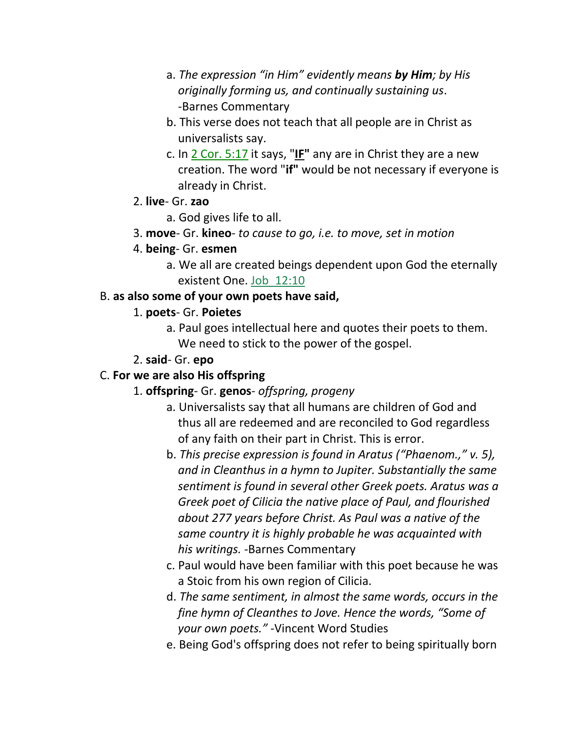- a. *The expression "in Him" evidently means by Him; by His originally forming us, and continually sustaining us*. -Barnes Commentary
- b. This verse does not teach that all people are in Christ as universalists say.
- c. In 2 Cor. 5:17 it says, "**IF"** any are in Christ they are a new creation. The word "**if"** would be not necessary if everyone is already in Christ.
- 2. **live** Gr. **zao**
	- a. God gives life to all.
- 3. **move** Gr. **kineo** *to cause to go, i.e. to move, set in motion*
- 4. **being** Gr. **esmen**
	- a. We all are created beings dependent upon God the eternally existent One. Job\_12:10

#### B. **as also some of your own poets have said,**

#### 1. **poets**- Gr. **Poietes**

- a. Paul goes intellectual here and quotes their poets to them. We need to stick to the power of the gospel.
- 2. **said** Gr. **epo**

#### C. **For we are also His offspring**

#### 1. **offspring**- Gr. **genos**- *offspring, progeny*

- a. Universalists say that all humans are children of God and thus all are redeemed and are reconciled to God regardless of any faith on their part in Christ. This is error.
- b. *This precise expression is found in Aratus ("Phaenom.," v. 5), and in Cleanthus in a hymn to Jupiter. Substantially the same sentiment is found in several other Greek poets. Aratus was a Greek poet of Cilicia the native place of Paul, and flourished about 277 years before Christ. As Paul was a native of the same country it is highly probable he was acquainted with his writings.* -Barnes Commentary
- c. Paul would have been familiar with this poet because he was a Stoic from his own region of Cilicia.
- d. *The same sentiment, in almost the same words, occurs in the fine hymn of Cleanthes to Jove. Hence the words, "Some of your own poets."* -Vincent Word Studies
- e. Being God's offspring does not refer to being spiritually born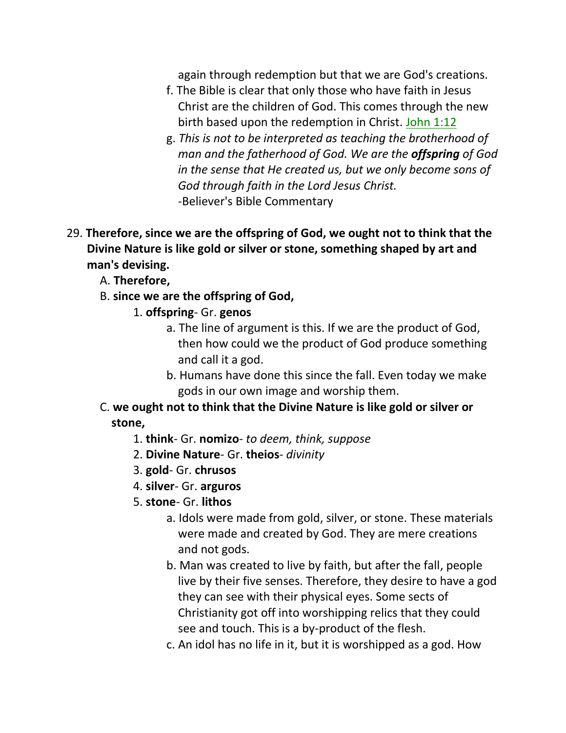again through redemption but that we are God's creations.

- f. The Bible is clear that only those who have faith in Jesus Christ are the children of God. This comes through the new birth based upon the redemption in Christ. John 1:12
- g. *This is not to be interpreted as teaching the brotherhood of man and the fatherhood of God. We are the offspring of God in the sense that He created us, but we only become sons of God through faith in the Lord Jesus Christ.* -Believer's Bible Commentary
- 29. **Therefore, since we are the offspring of God, we ought not to think that the Divine Nature is like gold or silver or stone, something shaped by art and man's devising.**

A. **Therefore,**

- B. **since we are the offspring of God,**
	- 1. **offspring** Gr. **genos**
		- a. The line of argument is this. If we are the product of God, then how could we the product of God produce something and call it a god.
		- b. Humans have done this since the fall. Even today we make gods in our own image and worship them.
- C. **we ought not to think that the Divine Nature is like gold or silver or stone,**
	- 1. **think** Gr. **nomizo** *to deem, think, suppose*
	- 2. **Divine Nature** Gr. **theios** *divinity*
	- 3. **gold** Gr. **chrusos**
	- 4. **silver** Gr. **arguros**
	- 5. **stone** Gr. **lithos**
		- a. Idols were made from gold, silver, or stone. These materials were made and created by God. They are mere creations and not gods.
		- b. Man was created to live by faith, but after the fall, people live by their five senses. Therefore, they desire to have a god they can see with their physical eyes. Some sects of Christianity got off into worshipping relics that they could see and touch. This is a by-product of the flesh.
		- c. An idol has no life in it, but it is worshipped as a god. How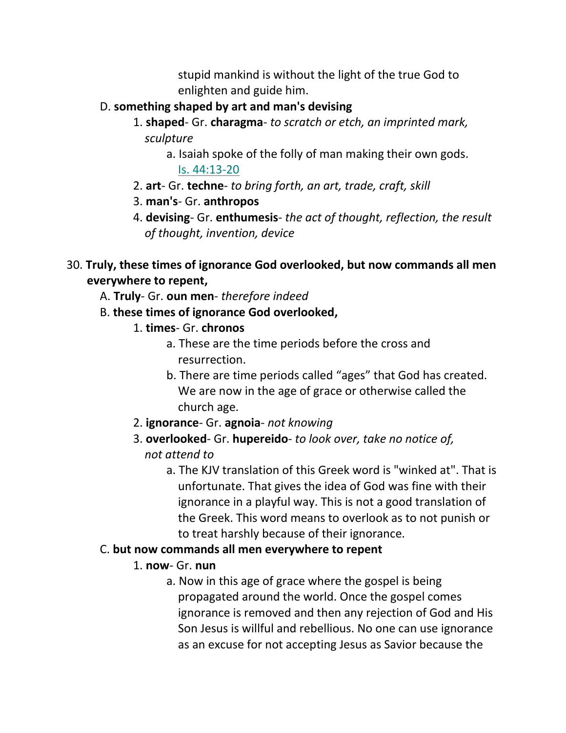stupid mankind is without the light of the true God to enlighten and guide him.

### D. **something shaped by art and man's devising**

- 1. **shaped** Gr. **charagma** *to scratch or etch, an imprinted mark, sculpture*
	- a. Isaiah spoke of the folly of man making their own gods. Is. 44:13-20
- 2. **art** Gr. **techne** *to bring forth, an art, trade, craft, skill*
- 3. **man's** Gr. **anthropos**
- 4. **devising** Gr. **enthumesis** *the act of thought, reflection, the result of thought, invention, device*
- 30. **Truly, these times of ignorance God overlooked, but now commands all men everywhere to repent,**
	- A. **Truly** Gr. **oun men** *therefore indeed*
	- B. **these times of ignorance God overlooked,**
		- 1. **times** Gr. **chronos**
			- a. These are the time periods before the cross and resurrection.
			- b. There are time periods called "ages" that God has created. We are now in the age of grace or otherwise called the church age.
		- 2. **ignorance** Gr. **agnoia** *not knowing*
		- 3. **overlooked** Gr. **hupereido** *to look over, take no notice of, not attend to*
			- a. The KJV translation of this Greek word is "winked at". That is unfortunate. That gives the idea of God was fine with their ignorance in a playful way. This is not a good translation of the Greek. This word means to overlook as to not punish or to treat harshly because of their ignorance.

### C. **but now commands all men everywhere to repent**

- 1. **now** Gr. **nun**
	- a. Now in this age of grace where the gospel is being propagated around the world. Once the gospel comes ignorance is removed and then any rejection of God and His Son Jesus is willful and rebellious. No one can use ignorance as an excuse for not accepting Jesus as Savior because the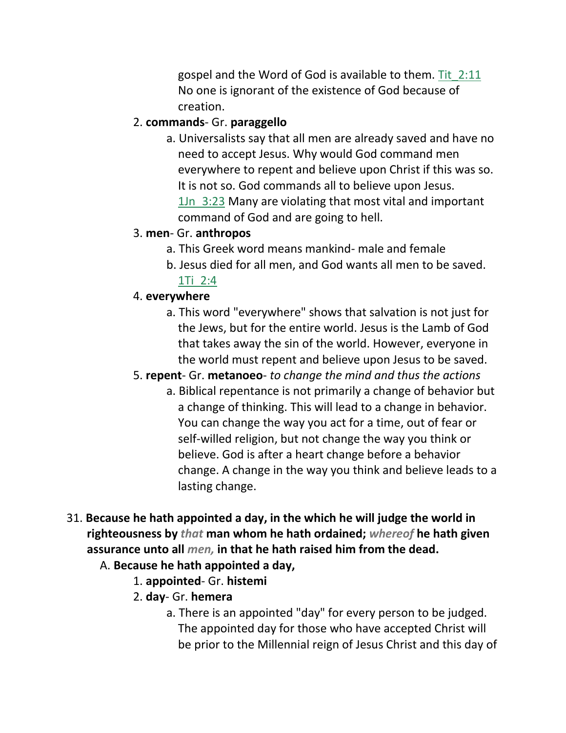gospel and the Word of God is available to them. Tit\_2:11 No one is ignorant of the existence of God because of creation.

# 2. **commands**- Gr. **paraggello**

a. Universalists say that all men are already saved and have no need to accept Jesus. Why would God command men everywhere to repent and believe upon Christ if this was so. It is not so. God commands all to believe upon Jesus. 1Jn\_3:23 Many are violating that most vital and important command of God and are going to hell.

# 3. **men**- Gr. **anthropos**

- a. This Greek word means mankind- male and female
- b. Jesus died for all men, and God wants all men to be saved. 1Ti\_2:4

## 4. **everywhere**

a. This word "everywhere" shows that salvation is not just for the Jews, but for the entire world. Jesus is the Lamb of God that takes away the sin of the world. However, everyone in the world must repent and believe upon Jesus to be saved.

# 5. **repent**- Gr. **metanoeo**- *to change the mind and thus the actions*

- a. Biblical repentance is not primarily a change of behavior but a change of thinking. This will lead to a change in behavior. You can change the way you act for a time, out of fear or self-willed religion, but not change the way you think or believe. God is after a heart change before a behavior change. A change in the way you think and believe leads to a lasting change.
- 31. **Because he hath appointed a day, in the which he will judge the world in righteousness by** *that* **man whom he hath ordained;** *whereof* **he hath given assurance unto all** *men,* **in that he hath raised him from the dead.**
	- A. **Because he hath appointed a day,**
		- 1. **appointed** Gr. **histemi**
		- 2. **day** Gr. **hemera**
			- a. There is an appointed "day" for every person to be judged. The appointed day for those who have accepted Christ will be prior to the Millennial reign of Jesus Christ and this day of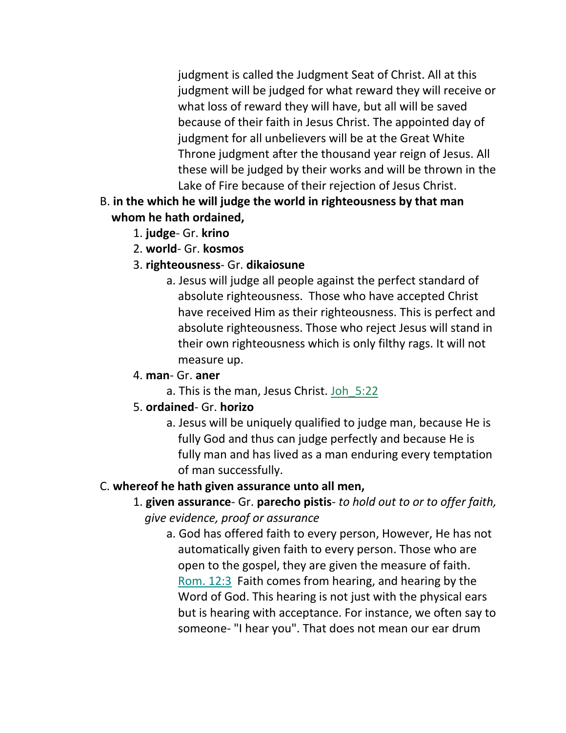judgment is called the Judgment Seat of Christ. All at this judgment will be judged for what reward they will receive or what loss of reward they will have, but all will be saved because of their faith in Jesus Christ. The appointed day of judgment for all unbelievers will be at the Great White Throne judgment after the thousand year reign of Jesus. All these will be judged by their works and will be thrown in the Lake of Fire because of their rejection of Jesus Christ.

- B. **in the which he will judge the world in righteousness by that man whom he hath ordained,**
	- 1. **judge** Gr. **krino**
	- 2. **world** Gr. **kosmos**
	- 3. **righteousness** Gr. **dikaiosune**
		- a. Jesus will judge all people against the perfect standard of absolute righteousness. Those who have accepted Christ have received Him as their righteousness. This is perfect and absolute righteousness. Those who reject Jesus will stand in their own righteousness which is only filthy rags. It will not measure up.
	- 4. **man** Gr. **aner**
		- a. This is the man, Jesus Christ. Joh 5:22
	- 5. **ordained** Gr. **horizo**
		- a. Jesus will be uniquely qualified to judge man, because He is fully God and thus can judge perfectly and because He is fully man and has lived as a man enduring every temptation of man successfully.

### C. **whereof he hath given assurance unto all men,**

- 1. **given assurance** Gr. **parecho pistis** *to hold out to or to offer faith, give evidence, proof or assurance*
	- a. God has offered faith to every person, However, He has not automatically given faith to every person. Those who are open to the gospel, they are given the measure of faith. Rom. 12:3 Faith comes from hearing, and hearing by the Word of God. This hearing is not just with the physical ears but is hearing with acceptance. For instance, we often say to someone- "I hear you". That does not mean our ear drum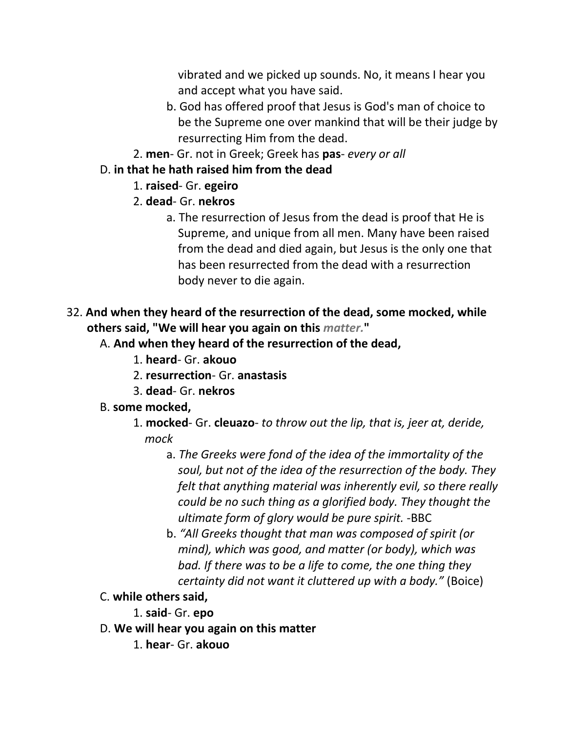vibrated and we picked up sounds. No, it means I hear you and accept what you have said.

- b. God has offered proof that Jesus is God's man of choice to be the Supreme one over mankind that will be their judge by resurrecting Him from the dead.
- 2. **men** Gr. not in Greek; Greek has **pas** *every or all*

# D. **in that he hath raised him from the dead**

- 1. **raised** Gr. **egeiro**
- 2. **dead** Gr. **nekros**
	- a. The resurrection of Jesus from the dead is proof that He is Supreme, and unique from all men. Many have been raised from the dead and died again, but Jesus is the only one that has been resurrected from the dead with a resurrection body never to die again.
- 32. **And when they heard of the resurrection of the dead, some mocked, while others said, "We will hear you again on this** *matter.***"**

# A. **And when they heard of the resurrection of the dead,**

- 1. **heard** Gr. **akouo**
- 2. **resurrection** Gr. **anastasis**
- 3. **dead** Gr. **nekros**
- B. **some mocked,**
	- 1. **mocked** Gr. **cleuazo** *to throw out the lip, that is, jeer at, deride, mock*
		- a. *The Greeks were fond of the idea of the immortality of the soul, but not of the idea of the resurrection of the body. They felt that anything material was inherently evil, so there really could be no such thing as a glorified body. They thought the ultimate form of glory would be pure spirit.* -BBC
		- b. *"All Greeks thought that man was composed of spirit (or mind), which was good, and matter (or body), which was bad. If there was to be a life to come, the one thing they certainty did not want it cluttered up with a body."* (Boice)
- C. **while others said,**
	- 1. **said** Gr. **epo**
- D. **We will hear you again on this matter**
	- 1. **hear** Gr. **akouo**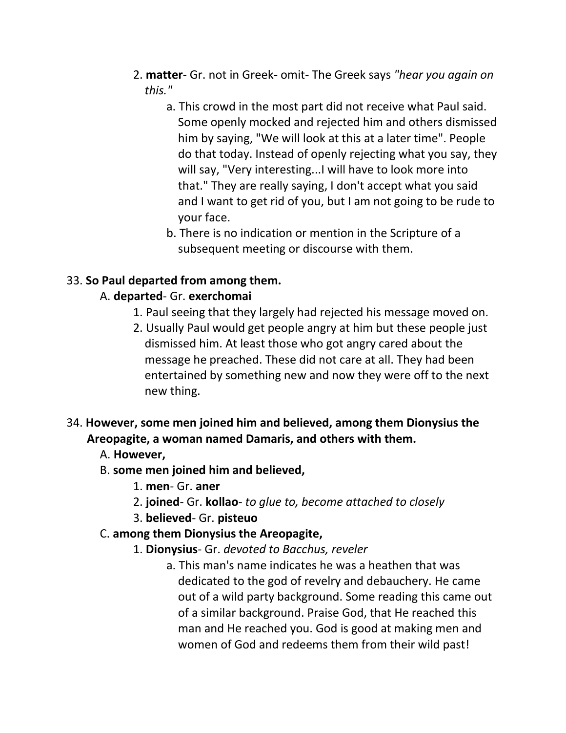- 2. **matter** Gr. not in Greek- omit- The Greek says *"hear you again on this."*
	- a. This crowd in the most part did not receive what Paul said. Some openly mocked and rejected him and others dismissed him by saying, "We will look at this at a later time". People do that today. Instead of openly rejecting what you say, they will say, "Very interesting...I will have to look more into that." They are really saying, I don't accept what you said and I want to get rid of you, but I am not going to be rude to your face.
	- b. There is no indication or mention in the Scripture of a subsequent meeting or discourse with them.

## 33. **So Paul departed from among them.**

### A. **departed**- Gr. **exerchomai**

- 1. Paul seeing that they largely had rejected his message moved on.
- 2. Usually Paul would get people angry at him but these people just dismissed him. At least those who got angry cared about the message he preached. These did not care at all. They had been entertained by something new and now they were off to the next new thing.

# 34. **However, some men joined him and believed, among them Dionysius the Areopagite, a woman named Damaris, and others with them.**

A. **However,**

### B. **some men joined him and believed,**

- 1. **men** Gr. **aner**
- 2. **joined** Gr. **kollao** *to glue to, become attached to closely*
- 3. **believed** Gr. **pisteuo**
- C. **among them Dionysius the Areopagite,**
	- 1. **Dionysius** Gr. *devoted to Bacchus, reveler*
		- a. This man's name indicates he was a heathen that was dedicated to the god of revelry and debauchery. He came out of a wild party background. Some reading this came out of a similar background. Praise God, that He reached this man and He reached you. God is good at making men and women of God and redeems them from their wild past!